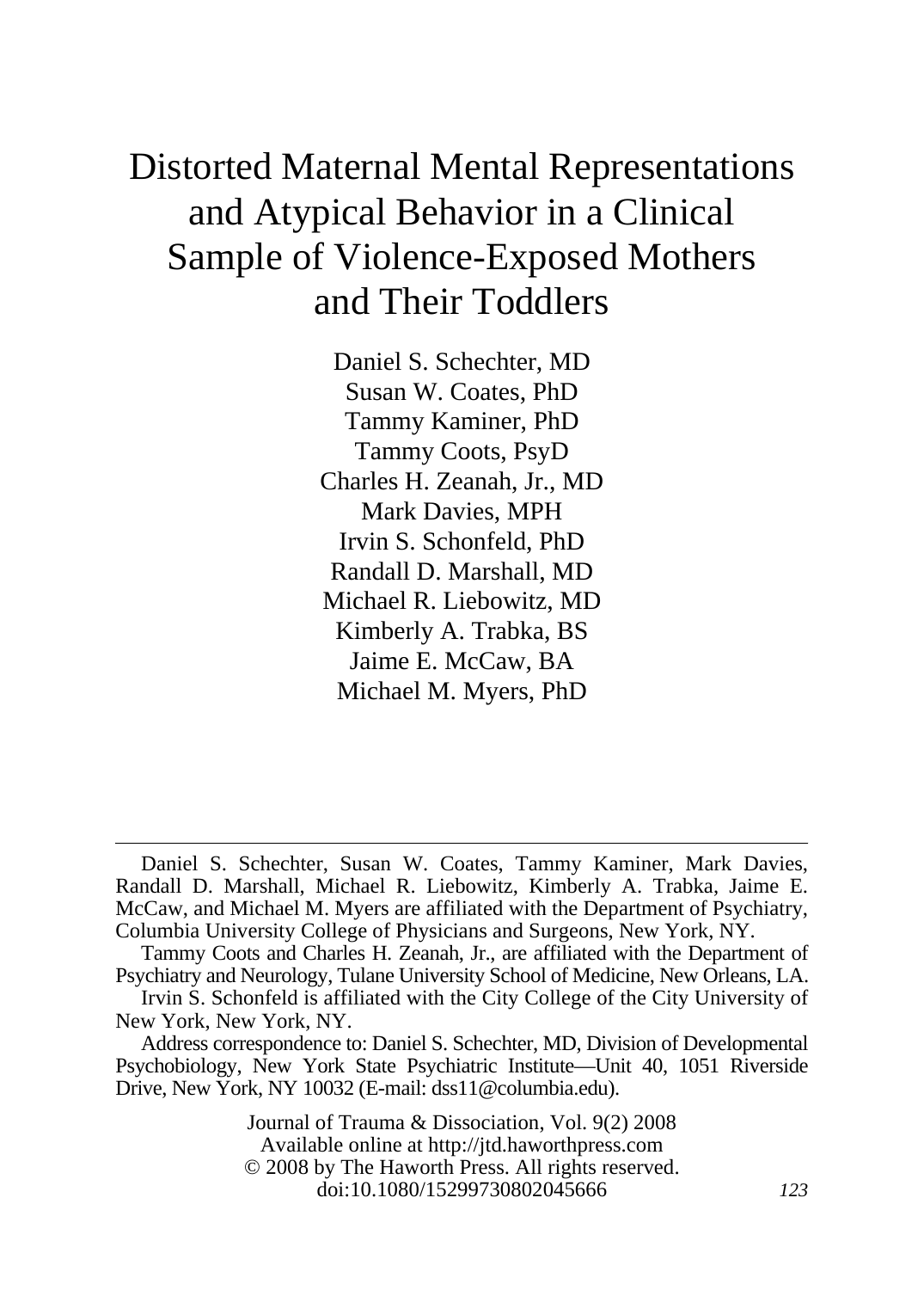# Distorted Maternal Mental Representations and Atypical Behavior in a Clinical Sample of Violence-Exposed Mothers and Their Toddlers

Daniel S. Schechter, MD Susan W. Coates, PhD Tammy Kaminer, PhD Tammy Coots, PsyD Charles H. Zeanah, Jr., MD Mark Davies, MPH Irvin S. Schonfeld, PhD Randall D. Marshall, MD Michael R. Liebowitz, MD Kimberly A. Trabka, BS Jaime E. McCaw, BA Michael M. Myers, PhD

Journal of Trauma & Dissociation, Vol. 9(2) 2008 Available online at http://jtd.haworthpress.com © 2008 by The Haworth Press. All rights reserved. doi:10.1080/15299730802045666 *123*

Daniel S. Schechter, Susan W. Coates, Tammy Kaminer, Mark Davies, Randall D. Marshall, Michael R. Liebowitz, Kimberly A. Trabka, Jaime E. McCaw, and Michael M. Myers are affiliated with the Department of Psychiatry, Columbia University College of Physicians and Surgeons, New York, NY.

Tammy Coots and Charles H. Zeanah, Jr., are affiliated with the Department of Psychiatry and Neurology, Tulane University School of Medicine, New Orleans, LA.

Irvin S. Schonfeld is affiliated with the City College of the City University of New York, New York, NY.

Address correspondence to: Daniel S. Schechter, MD, Division of Developmental Psychobiology, New York State Psychiatric Institute—Unit 40, 1051 Riverside Drive, New York, NY 10032 (E-mail: dss11@columbia.edu).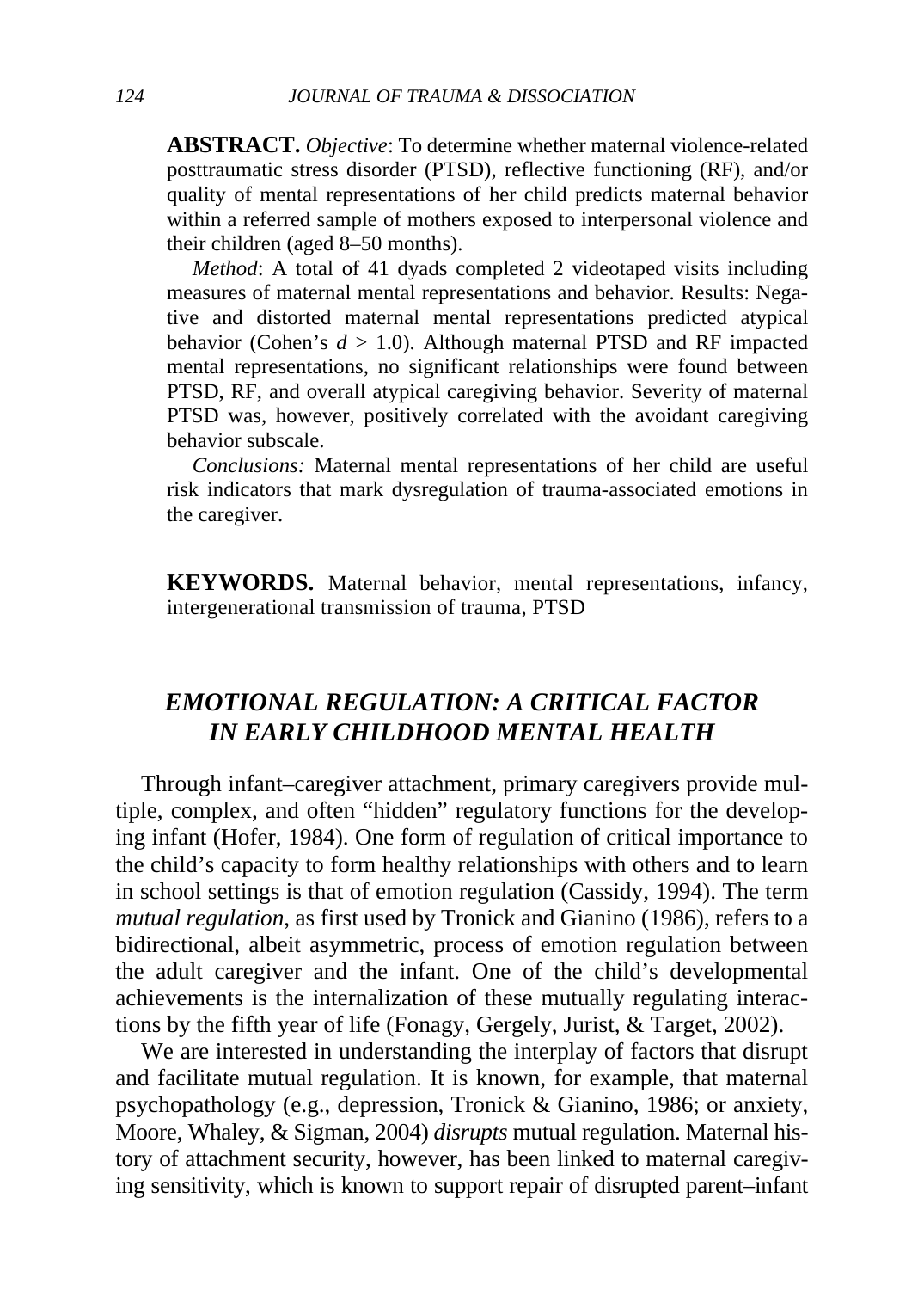**ABSTRACT.** *Objective*: To determine whether maternal violence-related posttraumatic stress disorder (PTSD), reflective functioning (RF), and/or quality of mental representations of her child predicts maternal behavior within a referred sample of mothers exposed to interpersonal violence and their children (aged 8–50 months).

*Method*: A total of 41 dyads completed 2 videotaped visits including measures of maternal mental representations and behavior. Results: Negative and distorted maternal mental representations predicted atypical behavior (Cohen's *d* > 1.0). Although maternal PTSD and RF impacted mental representations, no significant relationships were found between PTSD, RF, and overall atypical caregiving behavior. Severity of maternal PTSD was, however, positively correlated with the avoidant caregiving behavior subscale.

*Conclusions:* Maternal mental representations of her child are useful risk indicators that mark dysregulation of trauma-associated emotions in the caregiver.

**KEYWORDS.** Maternal behavior, mental representations, infancy, intergenerational transmission of trauma, PTSD

# *EMOTIONAL REGULATION: A CRITICAL FACTOR IN EARLY CHILDHOOD MENTAL HEALTH*

Through infant–caregiver attachment, primary caregivers provide multiple, complex, and often "hidden" regulatory functions for the developing infant (Hofer, 1984). One form of regulation of critical importance to the child's capacity to form healthy relationships with others and to learn in school settings is that of emotion regulation (Cassidy, 1994). The term *mutual regulation*, as first used by Tronick and Gianino (1986), refers to a bidirectional, albeit asymmetric, process of emotion regulation between the adult caregiver and the infant. One of the child's developmental achievements is the internalization of these mutually regulating interactions by the fifth year of life (Fonagy, Gergely, Jurist, & Target, 2002).

We are interested in understanding the interplay of factors that disrupt and facilitate mutual regulation. It is known, for example, that maternal psychopathology (e.g., depression, Tronick & Gianino, 1986; or anxiety, Moore, Whaley, & Sigman, 2004) *disrupts* mutual regulation. Maternal history of attachment security, however, has been linked to maternal caregiving sensitivity, which is known to support repair of disrupted parent–infant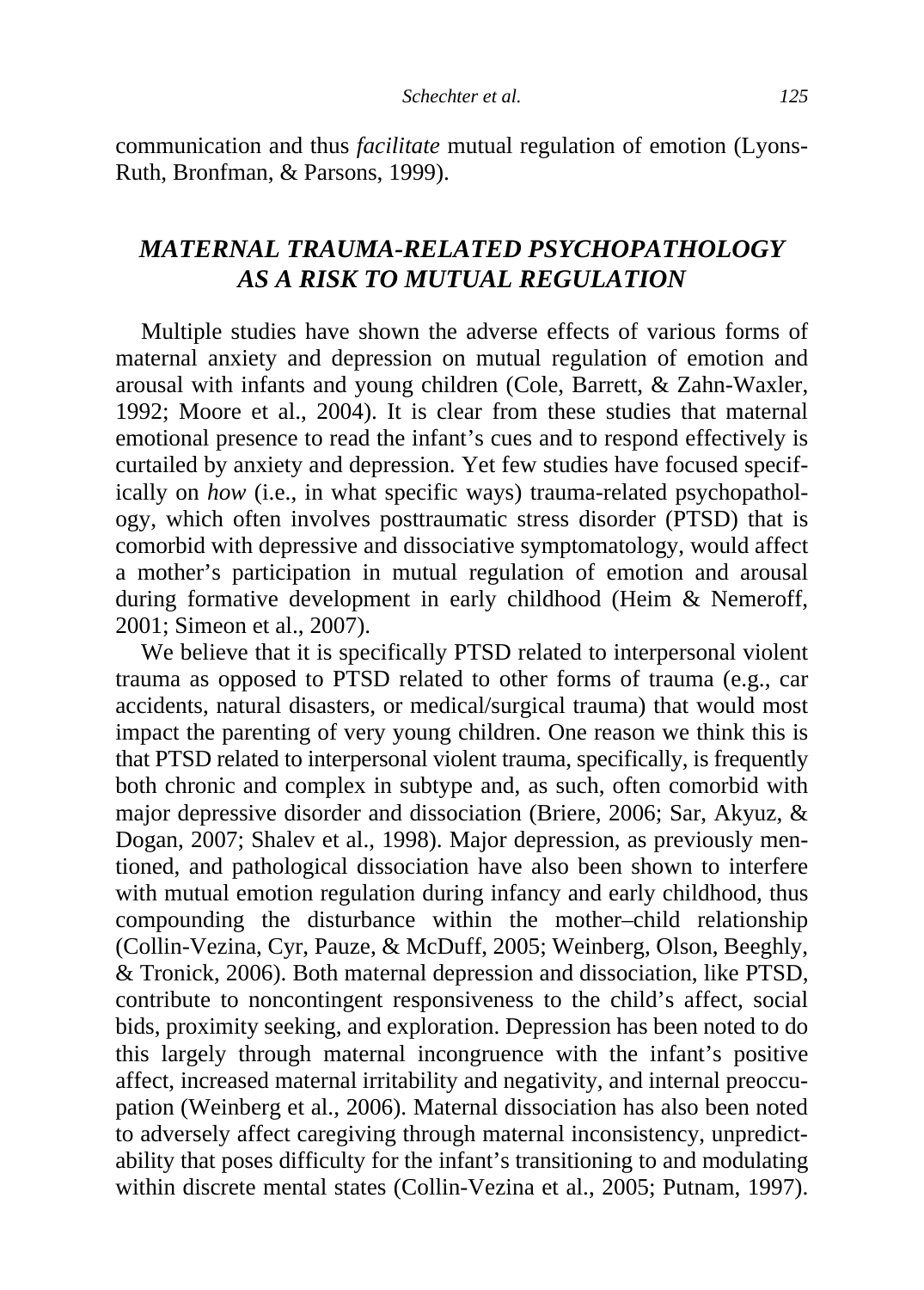communication and thus *facilitate* mutual regulation of emotion (Lyons-Ruth, Bronfman, & Parsons, 1999).

# *MATERNAL TRAUMA-RELATED PSYCHOPATHOLOGY AS A RISK TO MUTUAL REGULATION*

Multiple studies have shown the adverse effects of various forms of maternal anxiety and depression on mutual regulation of emotion and arousal with infants and young children (Cole, Barrett, & Zahn-Waxler, 1992; Moore et al., 2004). It is clear from these studies that maternal emotional presence to read the infant's cues and to respond effectively is curtailed by anxiety and depression. Yet few studies have focused specifically on *how* (i.e., in what specific ways) trauma-related psychopathology, which often involves posttraumatic stress disorder (PTSD) that is comorbid with depressive and dissociative symptomatology, would affect a mother's participation in mutual regulation of emotion and arousal during formative development in early childhood (Heim & Nemeroff, 2001; Simeon et al., 2007).

We believe that it is specifically PTSD related to interpersonal violent trauma as opposed to PTSD related to other forms of trauma (e.g., car accidents, natural disasters, or medical/surgical trauma) that would most impact the parenting of very young children. One reason we think this is that PTSD related to interpersonal violent trauma, specifically, is frequently both chronic and complex in subtype and, as such, often comorbid with major depressive disorder and dissociation (Briere, 2006; Sar, Akyuz, & Dogan, 2007; Shalev et al., 1998). Major depression, as previously mentioned, and pathological dissociation have also been shown to interfere with mutual emotion regulation during infancy and early childhood, thus compounding the disturbance within the mother–child relationship (Collin-Vezina, Cyr, Pauze, & McDuff, 2005; Weinberg, Olson, Beeghly, & Tronick, 2006). Both maternal depression and dissociation, like PTSD, contribute to noncontingent responsiveness to the child's affect, social bids, proximity seeking, and exploration. Depression has been noted to do this largely through maternal incongruence with the infant's positive affect, increased maternal irritability and negativity, and internal preoccupation (Weinberg et al., 2006). Maternal dissociation has also been noted to adversely affect caregiving through maternal inconsistency, unpredictability that poses difficulty for the infant's transitioning to and modulating within discrete mental states (Collin-Vezina et al., 2005; Putnam, 1997).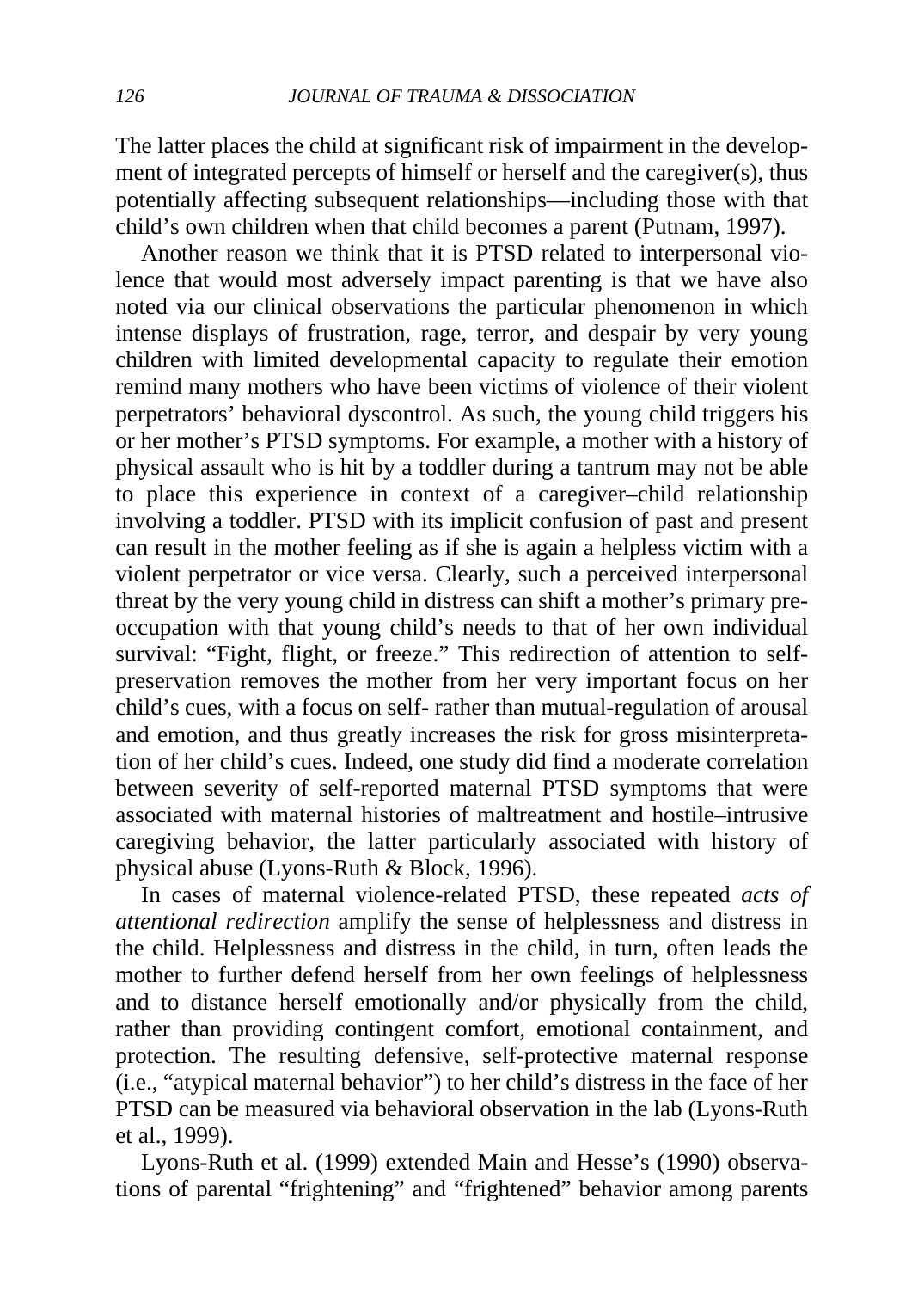The latter places the child at significant risk of impairment in the development of integrated percepts of himself or herself and the caregiver(s), thus potentially affecting subsequent relationships—including those with that child's own children when that child becomes a parent (Putnam, 1997).

Another reason we think that it is PTSD related to interpersonal violence that would most adversely impact parenting is that we have also noted via our clinical observations the particular phenomenon in which intense displays of frustration, rage, terror, and despair by very young children with limited developmental capacity to regulate their emotion remind many mothers who have been victims of violence of their violent perpetrators' behavioral dyscontrol. As such, the young child triggers his or her mother's PTSD symptoms. For example, a mother with a history of physical assault who is hit by a toddler during a tantrum may not be able to place this experience in context of a caregiver–child relationship involving a toddler. PTSD with its implicit confusion of past and present can result in the mother feeling as if she is again a helpless victim with a violent perpetrator or vice versa. Clearly, such a perceived interpersonal threat by the very young child in distress can shift a mother's primary preoccupation with that young child's needs to that of her own individual survival: "Fight, flight, or freeze." This redirection of attention to selfpreservation removes the mother from her very important focus on her child's cues, with a focus on self- rather than mutual-regulation of arousal and emotion, and thus greatly increases the risk for gross misinterpretation of her child's cues. Indeed, one study did find a moderate correlation between severity of self-reported maternal PTSD symptoms that were associated with maternal histories of maltreatment and hostile–intrusive caregiving behavior, the latter particularly associated with history of physical abuse (Lyons-Ruth & Block, 1996).

In cases of maternal violence-related PTSD, these repeated *acts of attentional redirection* amplify the sense of helplessness and distress in the child. Helplessness and distress in the child, in turn, often leads the mother to further defend herself from her own feelings of helplessness and to distance herself emotionally and/or physically from the child, rather than providing contingent comfort, emotional containment, and protection. The resulting defensive, self-protective maternal response (i.e., "atypical maternal behavior") to her child's distress in the face of her PTSD can be measured via behavioral observation in the lab (Lyons-Ruth et al., 1999).

Lyons-Ruth et al. (1999) extended Main and Hesse's (1990) observations of parental "frightening" and "frightened" behavior among parents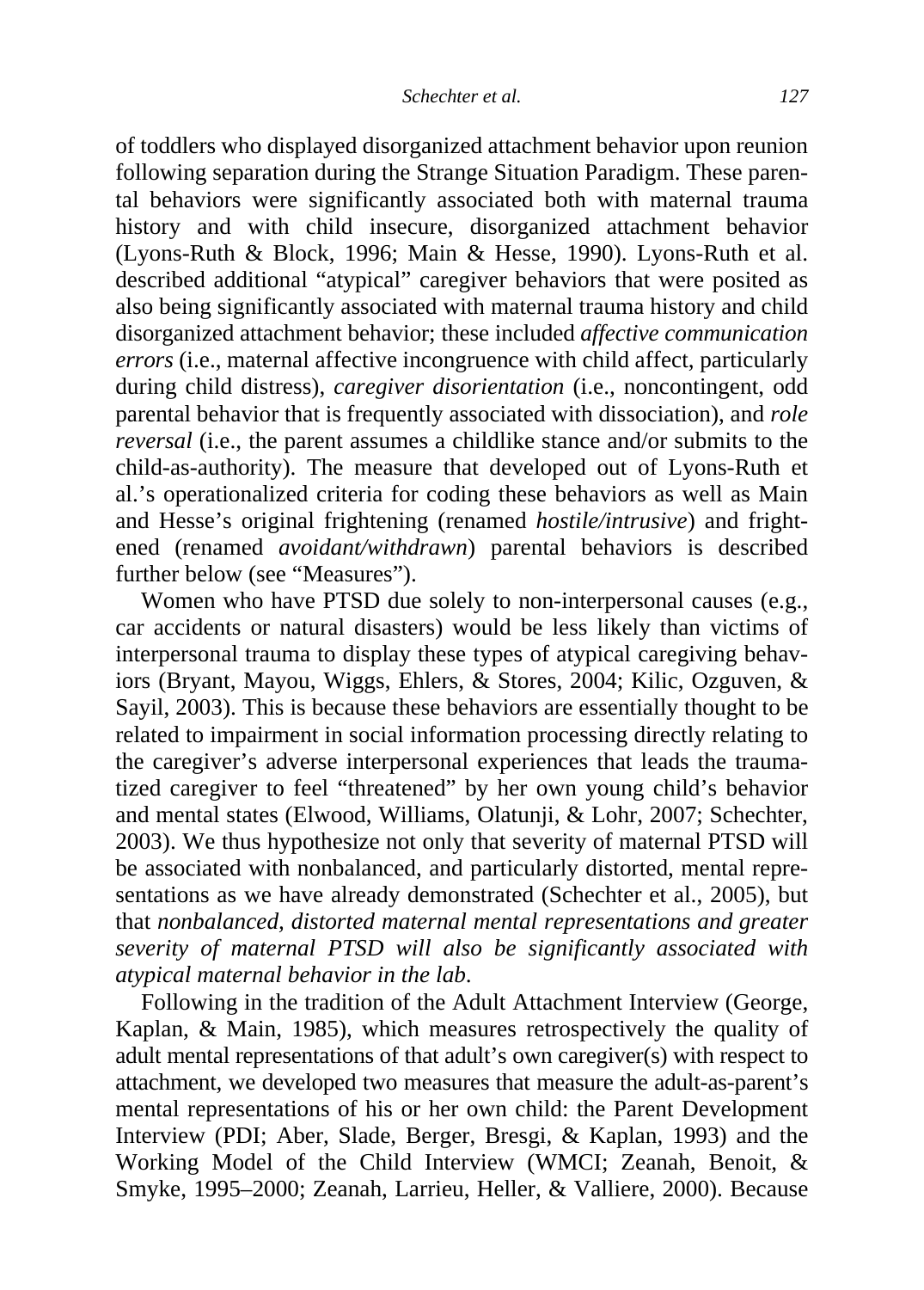of toddlers who displayed disorganized attachment behavior upon reunion following separation during the Strange Situation Paradigm. These parental behaviors were significantly associated both with maternal trauma history and with child insecure, disorganized attachment behavior (Lyons-Ruth & Block, 1996; Main & Hesse, 1990). Lyons-Ruth et al. described additional "atypical" caregiver behaviors that were posited as also being significantly associated with maternal trauma history and child disorganized attachment behavior; these included *affective communication errors* (i.e., maternal affective incongruence with child affect, particularly during child distress), *caregiver disorientation* (i.e., noncontingent, odd parental behavior that is frequently associated with dissociation), and *role reversal* (i.e., the parent assumes a childlike stance and/or submits to the child-as-authority). The measure that developed out of Lyons-Ruth et al.'s operationalized criteria for coding these behaviors as well as Main and Hesse's original frightening (renamed *hostile/intrusive*) and frightened (renamed *avoidant/withdrawn*) parental behaviors is described further below (see "Measures").

Women who have PTSD due solely to non-interpersonal causes (e.g., car accidents or natural disasters) would be less likely than victims of interpersonal trauma to display these types of atypical caregiving behaviors (Bryant, Mayou, Wiggs, Ehlers, & Stores, 2004; Kilic, Ozguven, & Sayil, 2003). This is because these behaviors are essentially thought to be related to impairment in social information processing directly relating to the caregiver's adverse interpersonal experiences that leads the traumatized caregiver to feel "threatened" by her own young child's behavior and mental states (Elwood, Williams, Olatunji, & Lohr, 2007; Schechter, 2003). We thus hypothesize not only that severity of maternal PTSD will be associated with nonbalanced, and particularly distorted, mental representations as we have already demonstrated (Schechter et al., 2005), but that *nonbalanced, distorted maternal mental representations and greater severity of maternal PTSD will also be significantly associated with atypical maternal behavior in the lab*.

Following in the tradition of the Adult Attachment Interview (George, Kaplan, & Main, 1985), which measures retrospectively the quality of adult mental representations of that adult's own caregiver(s) with respect to attachment, we developed two measures that measure the adult-as-parent's mental representations of his or her own child: the Parent Development Interview (PDI; Aber, Slade, Berger, Bresgi, & Kaplan, 1993) and the Working Model of the Child Interview (WMCI; Zeanah, Benoit, & Smyke, 1995–2000; Zeanah, Larrieu, Heller, & Valliere, 2000). Because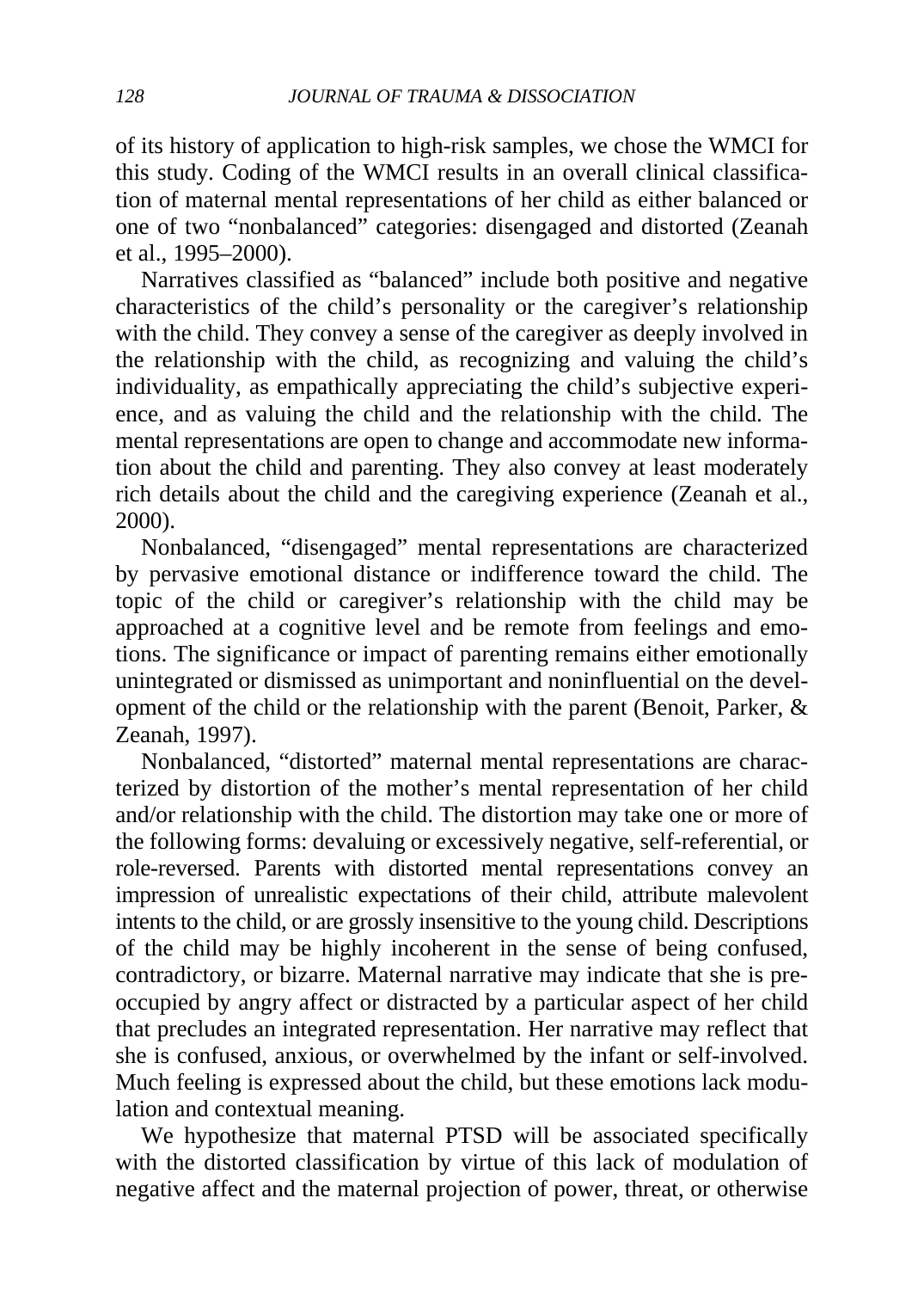of its history of application to high-risk samples, we chose the WMCI for this study. Coding of the WMCI results in an overall clinical classification of maternal mental representations of her child as either balanced or one of two "nonbalanced" categories: disengaged and distorted (Zeanah et al., 1995–2000).

Narratives classified as "balanced" include both positive and negative characteristics of the child's personality or the caregiver's relationship with the child. They convey a sense of the caregiver as deeply involved in the relationship with the child, as recognizing and valuing the child's individuality, as empathically appreciating the child's subjective experience, and as valuing the child and the relationship with the child. The mental representations are open to change and accommodate new information about the child and parenting. They also convey at least moderately rich details about the child and the caregiving experience (Zeanah et al., 2000).

Nonbalanced, "disengaged" mental representations are characterized by pervasive emotional distance or indifference toward the child. The topic of the child or caregiver's relationship with the child may be approached at a cognitive level and be remote from feelings and emotions. The significance or impact of parenting remains either emotionally unintegrated or dismissed as unimportant and noninfluential on the development of the child or the relationship with the parent (Benoit, Parker, & Zeanah, 1997).

Nonbalanced, "distorted" maternal mental representations are characterized by distortion of the mother's mental representation of her child and/or relationship with the child. The distortion may take one or more of the following forms: devaluing or excessively negative, self-referential, or role-reversed. Parents with distorted mental representations convey an impression of unrealistic expectations of their child, attribute malevolent intents to the child, or are grossly insensitive to the young child. Descriptions of the child may be highly incoherent in the sense of being confused, contradictory, or bizarre. Maternal narrative may indicate that she is preoccupied by angry affect or distracted by a particular aspect of her child that precludes an integrated representation. Her narrative may reflect that she is confused, anxious, or overwhelmed by the infant or self-involved. Much feeling is expressed about the child, but these emotions lack modulation and contextual meaning.

We hypothesize that maternal PTSD will be associated specifically with the distorted classification by virtue of this lack of modulation of negative affect and the maternal projection of power, threat, or otherwise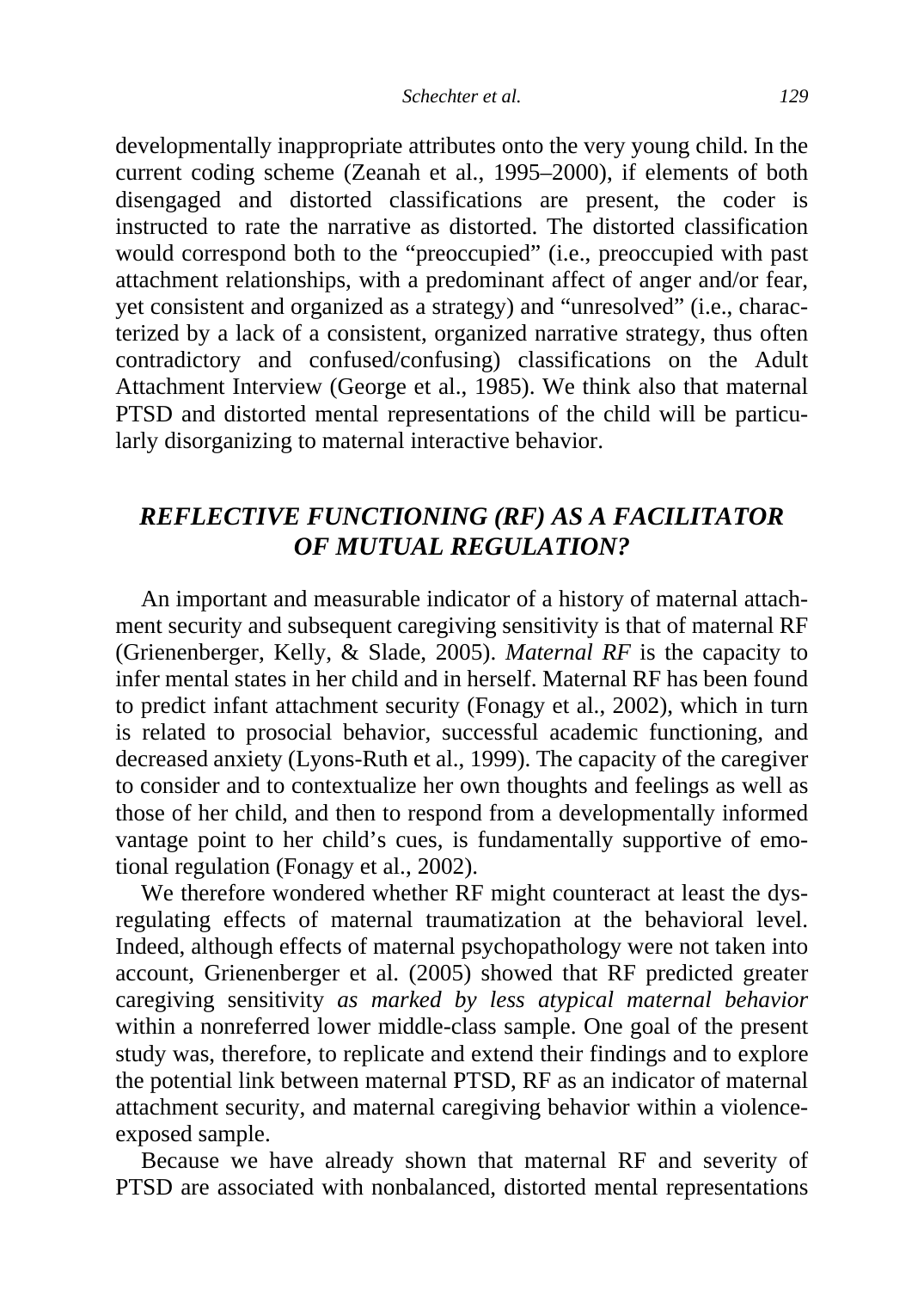developmentally inappropriate attributes onto the very young child. In the current coding scheme (Zeanah et al., 1995–2000), if elements of both disengaged and distorted classifications are present, the coder is instructed to rate the narrative as distorted. The distorted classification would correspond both to the "preoccupied" (i.e., preoccupied with past attachment relationships, with a predominant affect of anger and/or fear, yet consistent and organized as a strategy) and "unresolved" (i.e., characterized by a lack of a consistent, organized narrative strategy, thus often contradictory and confused/confusing) classifications on the Adult Attachment Interview (George et al., 1985). We think also that maternal PTSD and distorted mental representations of the child will be particularly disorganizing to maternal interactive behavior.

# *REFLECTIVE FUNCTIONING (RF) AS A FACILITATOR OF MUTUAL REGULATION?*

An important and measurable indicator of a history of maternal attachment security and subsequent caregiving sensitivity is that of maternal RF (Grienenberger, Kelly, & Slade, 2005). *Maternal RF* is the capacity to infer mental states in her child and in herself. Maternal RF has been found to predict infant attachment security (Fonagy et al., 2002), which in turn is related to prosocial behavior, successful academic functioning, and decreased anxiety (Lyons-Ruth et al., 1999). The capacity of the caregiver to consider and to contextualize her own thoughts and feelings as well as those of her child, and then to respond from a developmentally informed vantage point to her child's cues, is fundamentally supportive of emotional regulation (Fonagy et al., 2002).

We therefore wondered whether RF might counteract at least the dysregulating effects of maternal traumatization at the behavioral level. Indeed, although effects of maternal psychopathology were not taken into account, Grienenberger et al. (2005) showed that RF predicted greater caregiving sensitivity *as marked by less atypical maternal behavior* within a nonreferred lower middle-class sample. One goal of the present study was, therefore, to replicate and extend their findings and to explore the potential link between maternal PTSD, RF as an indicator of maternal attachment security, and maternal caregiving behavior within a violenceexposed sample.

Because we have already shown that maternal RF and severity of PTSD are associated with nonbalanced, distorted mental representations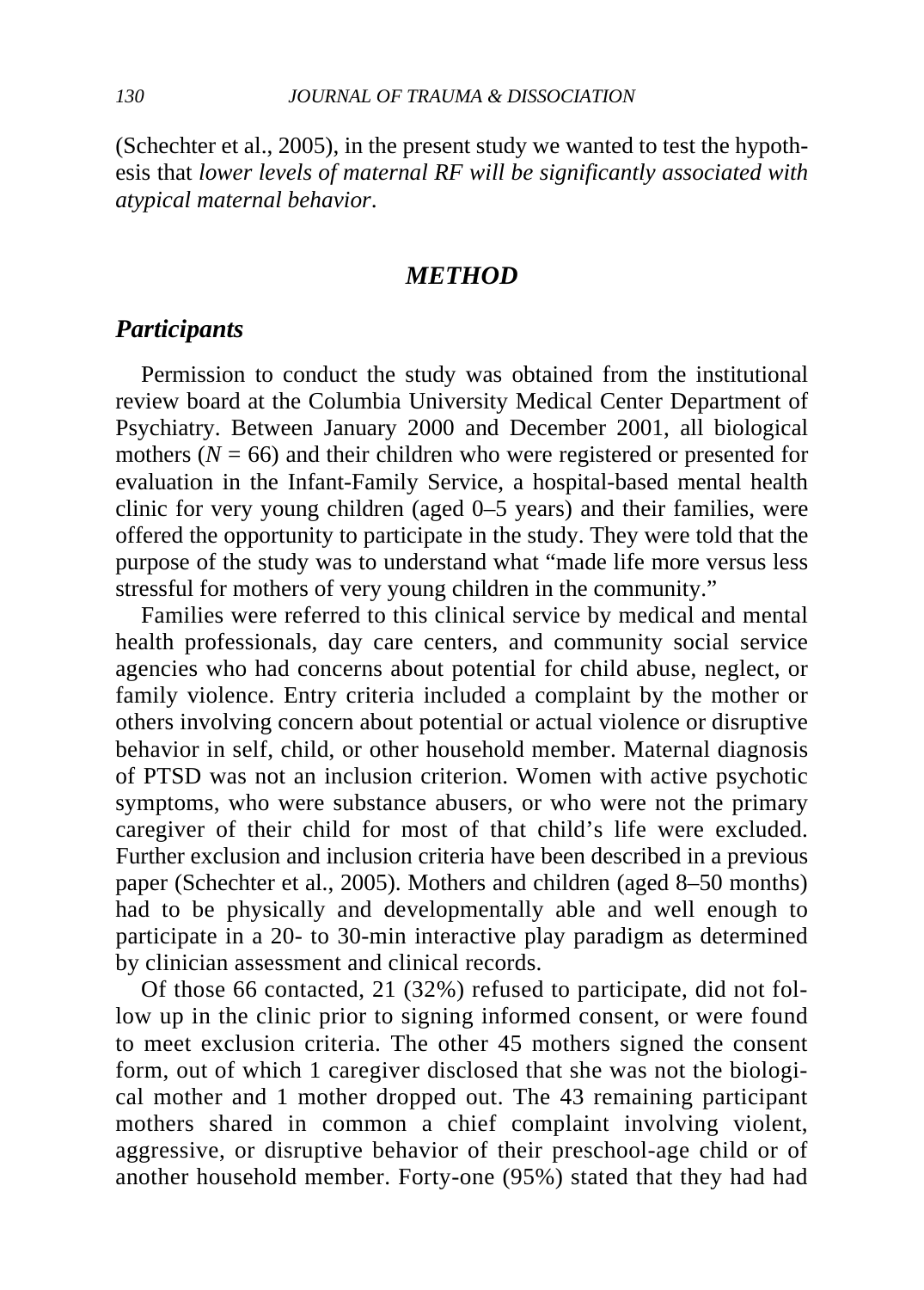(Schechter et al., 2005), in the present study we wanted to test the hypothesis that *lower levels of maternal RF will be significantly associated with atypical maternal behavior*.

#### *METHOD*

# *Participants*

Permission to conduct the study was obtained from the institutional review board at the Columbia University Medical Center Department of Psychiatry. Between January 2000 and December 2001, all biological mothers ( $N = 66$ ) and their children who were registered or presented for evaluation in the Infant-Family Service, a hospital-based mental health clinic for very young children (aged 0–5 years) and their families, were offered the opportunity to participate in the study. They were told that the purpose of the study was to understand what "made life more versus less stressful for mothers of very young children in the community."

Families were referred to this clinical service by medical and mental health professionals, day care centers, and community social service agencies who had concerns about potential for child abuse, neglect, or family violence. Entry criteria included a complaint by the mother or others involving concern about potential or actual violence or disruptive behavior in self, child, or other household member. Maternal diagnosis of PTSD was not an inclusion criterion. Women with active psychotic symptoms, who were substance abusers, or who were not the primary caregiver of their child for most of that child's life were excluded. Further exclusion and inclusion criteria have been described in a previous paper (Schechter et al., 2005). Mothers and children (aged 8–50 months) had to be physically and developmentally able and well enough to participate in a 20- to 30-min interactive play paradigm as determined by clinician assessment and clinical records.

Of those 66 contacted, 21 (32%) refused to participate, did not follow up in the clinic prior to signing informed consent, or were found to meet exclusion criteria. The other 45 mothers signed the consent form, out of which 1 caregiver disclosed that she was not the biological mother and 1 mother dropped out. The 43 remaining participant mothers shared in common a chief complaint involving violent, aggressive, or disruptive behavior of their preschool-age child or of another household member. Forty-one (95%) stated that they had had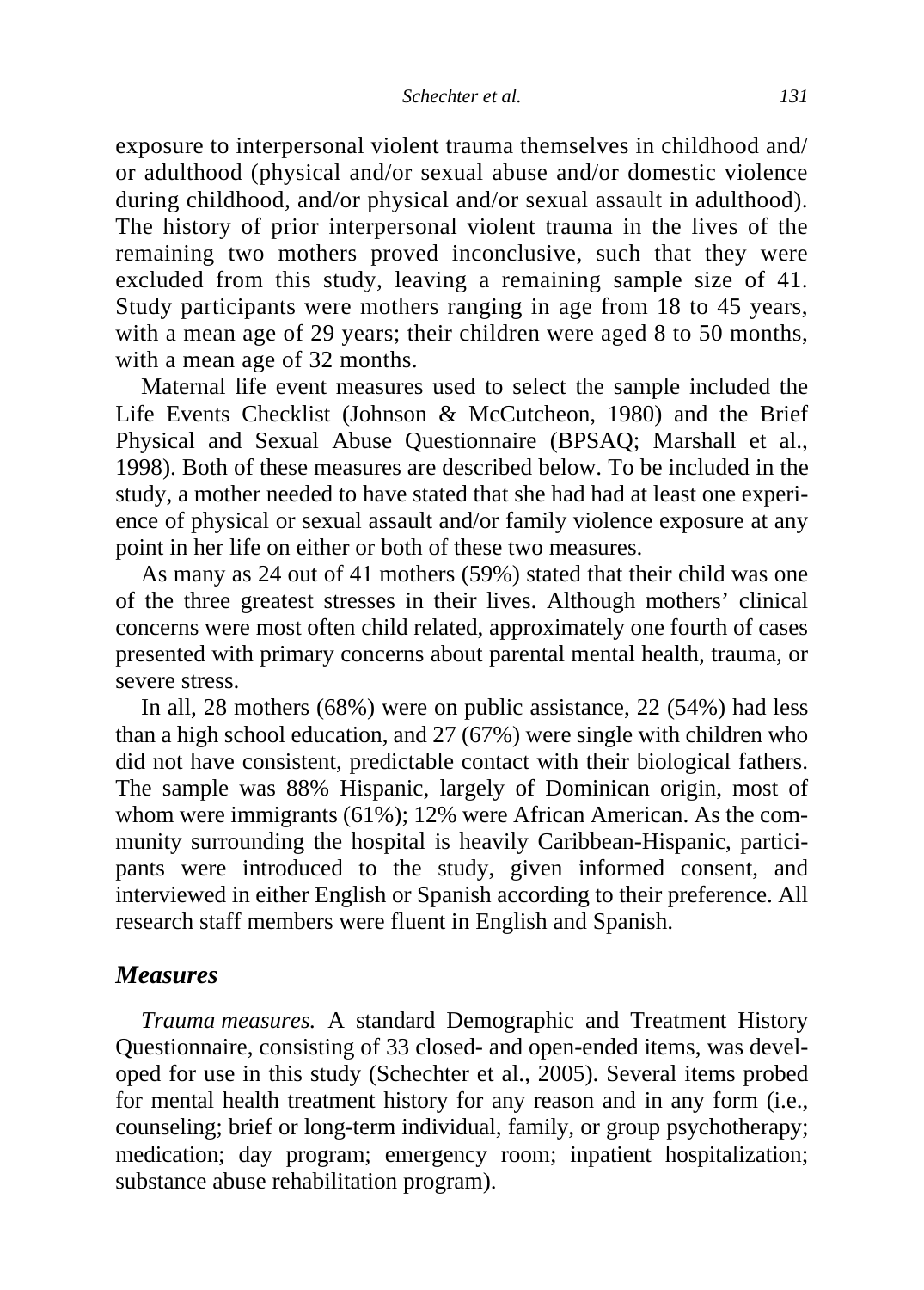exposure to interpersonal violent trauma themselves in childhood and/ or adulthood (physical and/or sexual abuse and/or domestic violence during childhood, and/or physical and/or sexual assault in adulthood). The history of prior interpersonal violent trauma in the lives of the remaining two mothers proved inconclusive, such that they were excluded from this study, leaving a remaining sample size of 41. Study participants were mothers ranging in age from 18 to 45 years, with a mean age of 29 years; their children were aged 8 to 50 months, with a mean age of 32 months.

Maternal life event measures used to select the sample included the Life Events Checklist (Johnson & McCutcheon, 1980) and the Brief Physical and Sexual Abuse Questionnaire (BPSAQ; Marshall et al., 1998). Both of these measures are described below. To be included in the study, a mother needed to have stated that she had had at least one experience of physical or sexual assault and/or family violence exposure at any point in her life on either or both of these two measures.

As many as 24 out of 41 mothers (59%) stated that their child was one of the three greatest stresses in their lives. Although mothers' clinical concerns were most often child related, approximately one fourth of cases presented with primary concerns about parental mental health, trauma, or severe stress.

In all, 28 mothers (68%) were on public assistance, 22 (54%) had less than a high school education, and 27 (67%) were single with children who did not have consistent, predictable contact with their biological fathers. The sample was 88% Hispanic, largely of Dominican origin, most of whom were immigrants (61%); 12% were African American. As the community surrounding the hospital is heavily Caribbean-Hispanic, participants were introduced to the study, given informed consent, and interviewed in either English or Spanish according to their preference. All research staff members were fluent in English and Spanish.

#### *Measures*

*Trauma measures.* A standard Demographic and Treatment History Questionnaire, consisting of 33 closed- and open-ended items, was developed for use in this study (Schechter et al., 2005). Several items probed for mental health treatment history for any reason and in any form (i.e., counseling; brief or long-term individual, family, or group psychotherapy; medication; day program; emergency room; inpatient hospitalization; substance abuse rehabilitation program).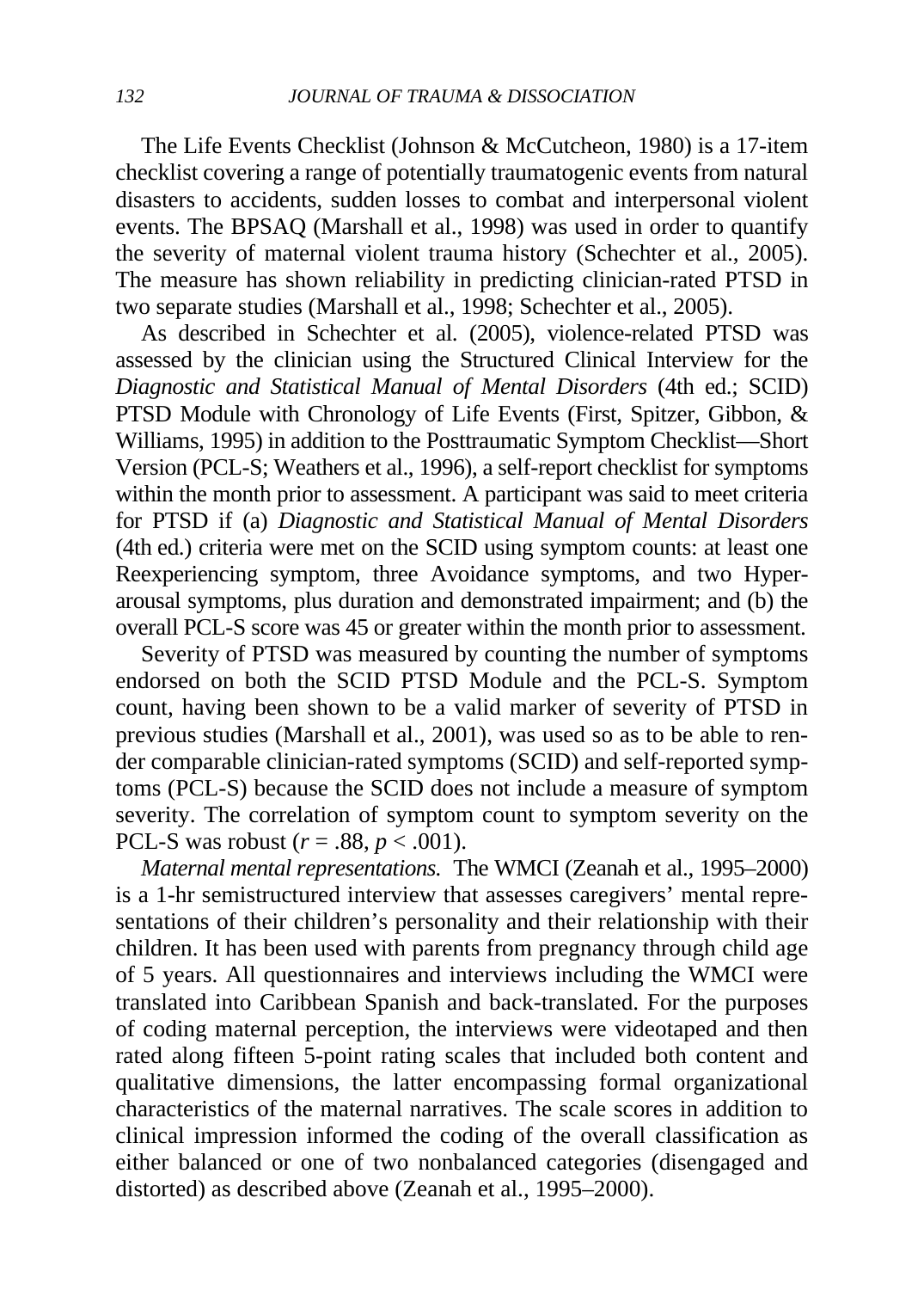The Life Events Checklist (Johnson & McCutcheon, 1980) is a 17-item checklist covering a range of potentially traumatogenic events from natural disasters to accidents, sudden losses to combat and interpersonal violent events. The BPSAQ (Marshall et al., 1998) was used in order to quantify the severity of maternal violent trauma history (Schechter et al., 2005). The measure has shown reliability in predicting clinician-rated PTSD in two separate studies (Marshall et al., 1998; Schechter et al., 2005).

As described in Schechter et al. (2005), violence-related PTSD was assessed by the clinician using the Structured Clinical Interview for the *Diagnostic and Statistical Manual of Mental Disorders* (4th ed.; SCID) PTSD Module with Chronology of Life Events (First, Spitzer, Gibbon, & Williams, 1995) in addition to the Posttraumatic Symptom Checklist—Short Version (PCL-S; Weathers et al., 1996), a self-report checklist for symptoms within the month prior to assessment. A participant was said to meet criteria for PTSD if (a) *Diagnostic and Statistical Manual of Mental Disorders* (4th ed.) criteria were met on the SCID using symptom counts: at least one Reexperiencing symptom, three Avoidance symptoms, and two Hyperarousal symptoms, plus duration and demonstrated impairment; and (b) the overall PCL-S score was 45 or greater within the month prior to assessment.

Severity of PTSD was measured by counting the number of symptoms endorsed on both the SCID PTSD Module and the PCL-S. Symptom count, having been shown to be a valid marker of severity of PTSD in previous studies (Marshall et al., 2001), was used so as to be able to render comparable clinician-rated symptoms (SCID) and self-reported symptoms (PCL-S) because the SCID does not include a measure of symptom severity. The correlation of symptom count to symptom severity on the PCL-S was robust  $(r = .88, p < .001)$ .

*Maternal mental representations.* The WMCI (Zeanah et al., 1995–2000) is a 1-hr semistructured interview that assesses caregivers' mental representations of their children's personality and their relationship with their children. It has been used with parents from pregnancy through child age of 5 years. All questionnaires and interviews including the WMCI were translated into Caribbean Spanish and back-translated. For the purposes of coding maternal perception, the interviews were videotaped and then rated along fifteen 5-point rating scales that included both content and qualitative dimensions, the latter encompassing formal organizational characteristics of the maternal narratives. The scale scores in addition to clinical impression informed the coding of the overall classification as either balanced or one of two nonbalanced categories (disengaged and distorted) as described above (Zeanah et al., 1995–2000).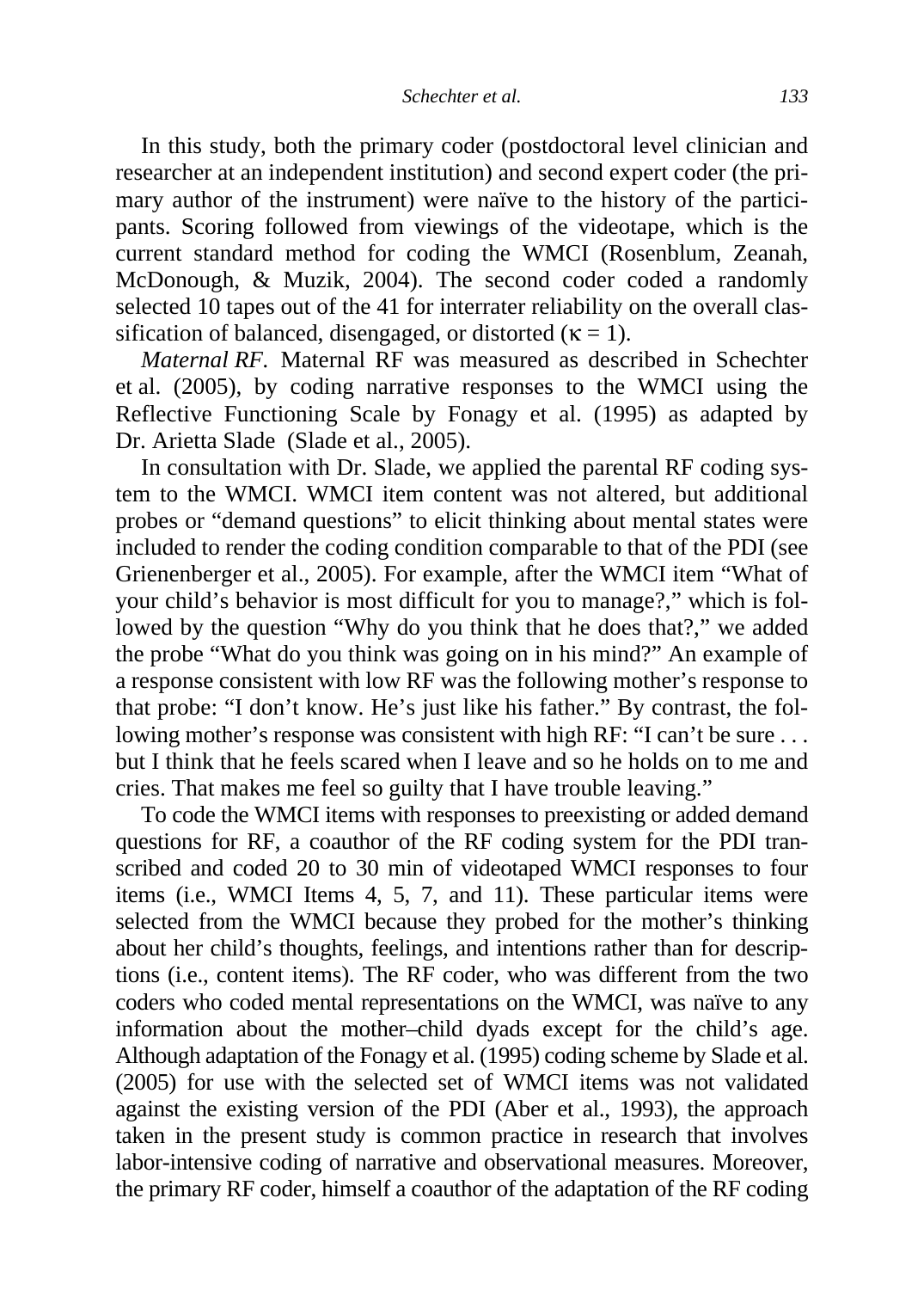In this study, both the primary coder (postdoctoral level clinician and researcher at an independent institution) and second expert coder (the primary author of the instrument) were naïve to the history of the participants. Scoring followed from viewings of the videotape, which is the current standard method for coding the WMCI (Rosenblum, Zeanah, McDonough, & Muzik, 2004). The second coder coded a randomly selected 10 tapes out of the 41 for interrater reliability on the overall classification of balanced, disengaged, or distorted ( $\kappa = 1$ ).

*Maternal RF.* Maternal RF was measured as described in Schechter et al. (2005), by coding narrative responses to the WMCI using the Reflective Functioning Scale by Fonagy et al. (1995) as adapted by Dr. Arietta Slade (Slade et al., 2005).

In consultation with Dr. Slade, we applied the parental RF coding system to the WMCI. WMCI item content was not altered, but additional probes or "demand questions" to elicit thinking about mental states were included to render the coding condition comparable to that of the PDI (see Grienenberger et al., 2005). For example, after the WMCI item "What of your child's behavior is most difficult for you to manage?," which is followed by the question "Why do you think that he does that?," we added the probe "What do you think was going on in his mind?" An example of a response consistent with low RF was the following mother's response to that probe: "I don't know. He's just like his father." By contrast, the following mother's response was consistent with high RF: "I can't be sure ... but I think that he feels scared when I leave and so he holds on to me and cries. That makes me feel so guilty that I have trouble leaving."

To code the WMCI items with responses to preexisting or added demand questions for RF, a coauthor of the RF coding system for the PDI transcribed and coded 20 to 30 min of videotaped WMCI responses to four items (i.e., WMCI Items 4, 5, 7, and 11). These particular items were selected from the WMCI because they probed for the mother's thinking about her child's thoughts, feelings, and intentions rather than for descriptions (i.e., content items). The RF coder, who was different from the two coders who coded mental representations on the WMCI, was naïve to any information about the mother–child dyads except for the child's age. Although adaptation of the Fonagy et al. (1995) coding scheme by Slade et al. (2005) for use with the selected set of WMCI items was not validated against the existing version of the PDI (Aber et al., 1993), the approach taken in the present study is common practice in research that involves labor-intensive coding of narrative and observational measures. Moreover, the primary RF coder, himself a coauthor of the adaptation of the RF coding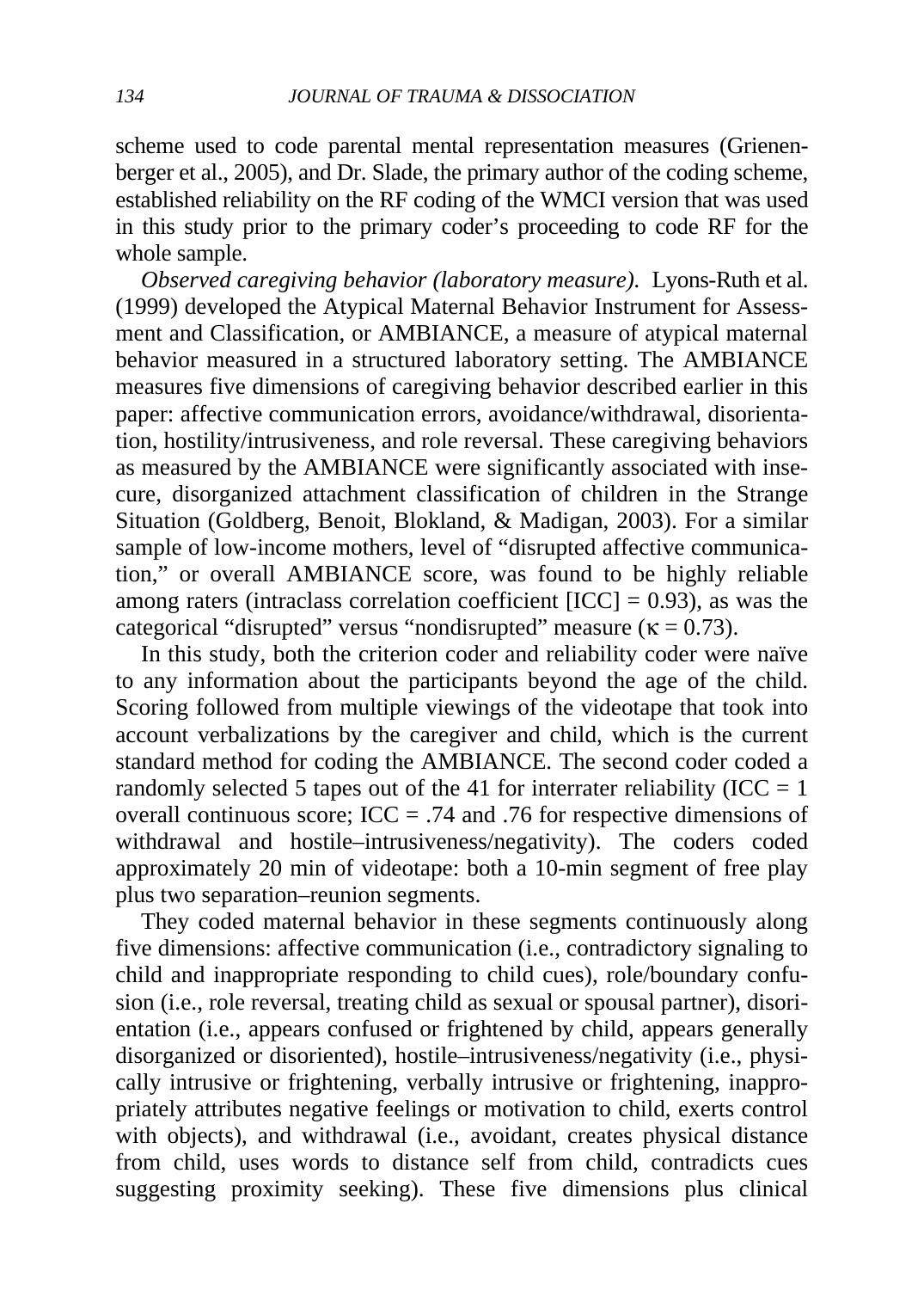scheme used to code parental mental representation measures (Grienenberger et al., 2005), and Dr. Slade, the primary author of the coding scheme, established reliability on the RF coding of the WMCI version that was used in this study prior to the primary coder's proceeding to code RF for the whole sample.

*Observed caregiving behavior (laboratory measure).* Lyons-Ruth et al. (1999) developed the Atypical Maternal Behavior Instrument for Assessment and Classification, or AMBIANCE, a measure of atypical maternal behavior measured in a structured laboratory setting. The AMBIANCE measures five dimensions of caregiving behavior described earlier in this paper: affective communication errors, avoidance/withdrawal, disorientation, hostility/intrusiveness, and role reversal. These caregiving behaviors as measured by the AMBIANCE were significantly associated with insecure, disorganized attachment classification of children in the Strange Situation (Goldberg, Benoit, Blokland, & Madigan, 2003). For a similar sample of low-income mothers, level of "disrupted affective communication," or overall AMBIANCE score, was found to be highly reliable among raters (intraclass correlation coefficient  $[ICC] = 0.93$ ), as was the categorical "disrupted" versus "nondisrupted" measure ( $\kappa = 0.73$ ).

In this study, both the criterion coder and reliability coder were naïve to any information about the participants beyond the age of the child. Scoring followed from multiple viewings of the videotape that took into account verbalizations by the caregiver and child, which is the current standard method for coding the AMBIANCE. The second coder coded a randomly selected 5 tapes out of the 41 for interrater reliability (ICC  $= 1$ ) overall continuous score;  $ICC = .74$  and .76 for respective dimensions of withdrawal and hostile–intrusiveness/negativity). The coders coded approximately 20 min of videotape: both a 10-min segment of free play plus two separation–reunion segments.

They coded maternal behavior in these segments continuously along five dimensions: affective communication (i.e., contradictory signaling to child and inappropriate responding to child cues), role/boundary confusion (i.e., role reversal, treating child as sexual or spousal partner), disorientation (i.e., appears confused or frightened by child, appears generally disorganized or disoriented), hostile–intrusiveness/negativity (i.e., physically intrusive or frightening, verbally intrusive or frightening, inappropriately attributes negative feelings or motivation to child, exerts control with objects), and withdrawal (i.e., avoidant, creates physical distance from child, uses words to distance self from child, contradicts cues suggesting proximity seeking). These five dimensions plus clinical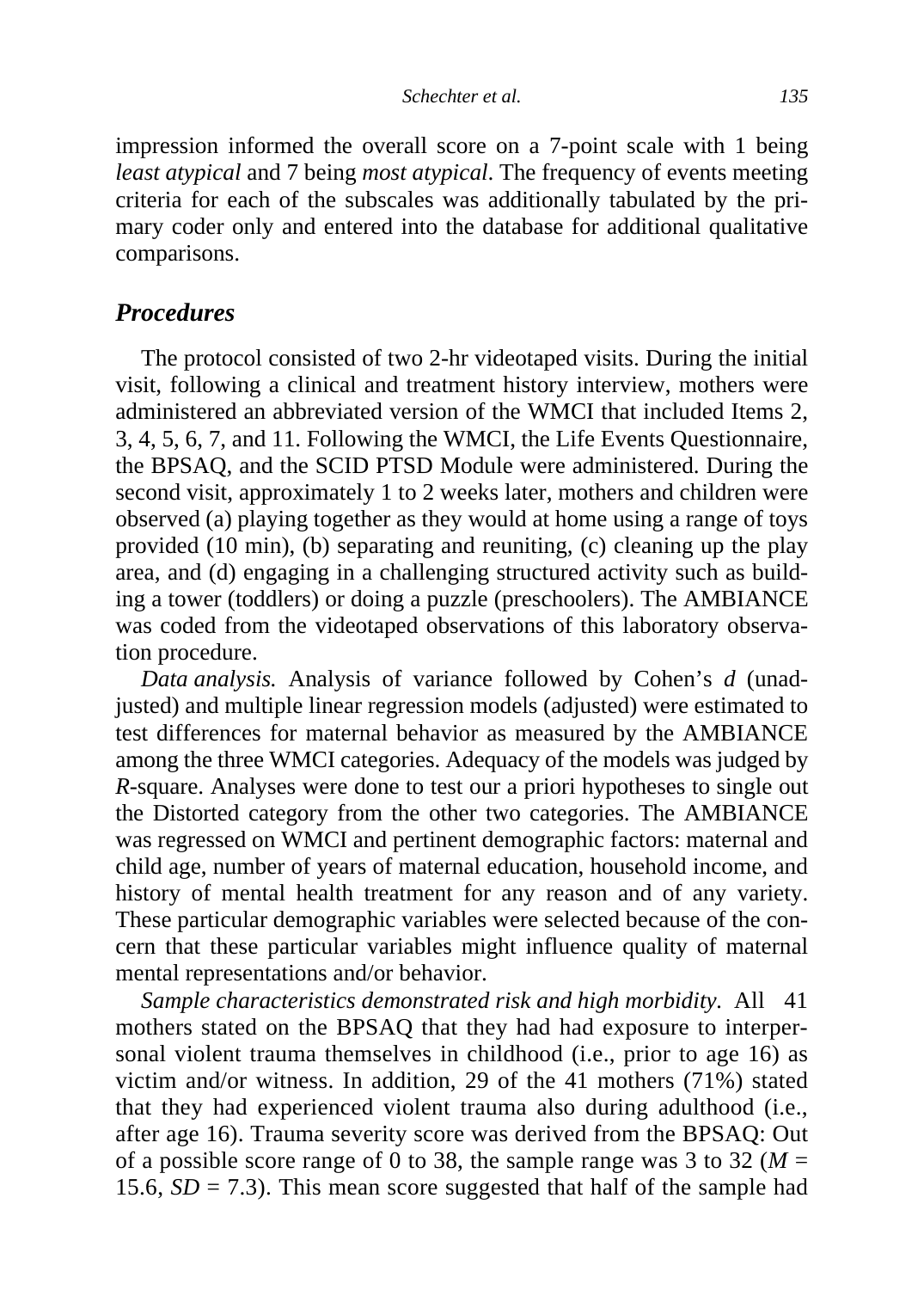impression informed the overall score on a 7-point scale with 1 being *least atypical* and 7 being *most atypical*. The frequency of events meeting criteria for each of the subscales was additionally tabulated by the primary coder only and entered into the database for additional qualitative comparisons.

# *Procedures*

The protocol consisted of two 2-hr videotaped visits. During the initial visit, following a clinical and treatment history interview, mothers were administered an abbreviated version of the WMCI that included Items 2, 3, 4, 5, 6, 7, and 11. Following the WMCI, the Life Events Questionnaire, the BPSAQ, and the SCID PTSD Module were administered. During the second visit, approximately 1 to 2 weeks later, mothers and children were observed (a) playing together as they would at home using a range of toys provided (10 min), (b) separating and reuniting, (c) cleaning up the play area, and (d) engaging in a challenging structured activity such as building a tower (toddlers) or doing a puzzle (preschoolers). The AMBIANCE was coded from the videotaped observations of this laboratory observation procedure.

*Data analysis.* Analysis of variance followed by Cohen's *d* (unadjusted) and multiple linear regression models (adjusted) were estimated to test differences for maternal behavior as measured by the AMBIANCE among the three WMCI categories. Adequacy of the models was judged by *R*-square. Analyses were done to test our a priori hypotheses to single out the Distorted category from the other two categories. The AMBIANCE was regressed on WMCI and pertinent demographic factors: maternal and child age, number of years of maternal education, household income, and history of mental health treatment for any reason and of any variety. These particular demographic variables were selected because of the concern that these particular variables might influence quality of maternal mental representations and/or behavior.

*Sample characteristics demonstrated risk and high morbidity.* All 41 mothers stated on the BPSAQ that they had had exposure to interpersonal violent trauma themselves in childhood (i.e., prior to age 16) as victim and/or witness. In addition, 29 of the 41 mothers (71%) stated that they had experienced violent trauma also during adulthood (i.e., after age 16). Trauma severity score was derived from the BPSAQ: Out of a possible score range of 0 to 38, the sample range was 3 to 32 ( $M =$ 15.6,  $SD = 7.3$ ). This mean score suggested that half of the sample had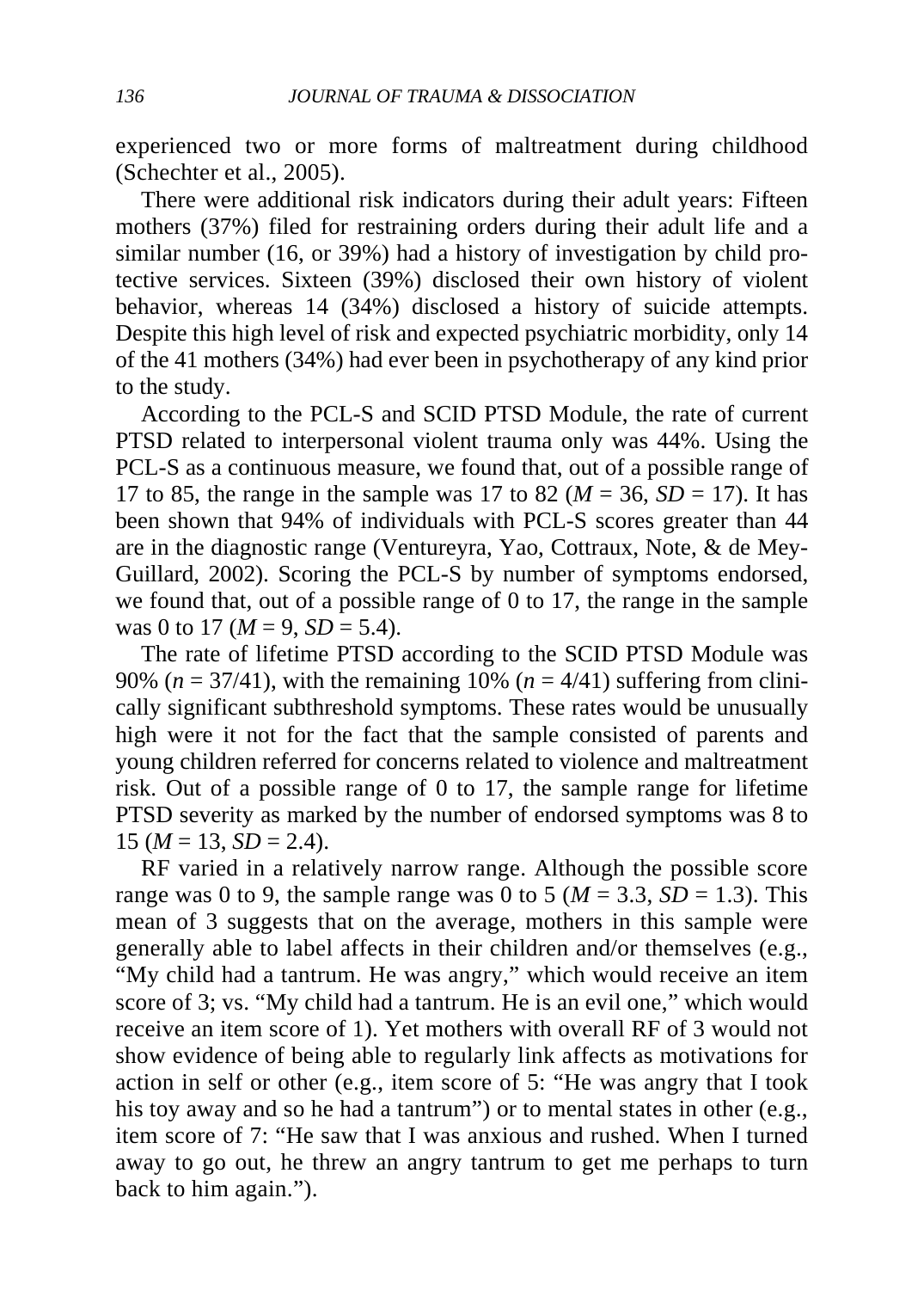experienced two or more forms of maltreatment during childhood (Schechter et al., 2005).

There were additional risk indicators during their adult years: Fifteen mothers (37%) filed for restraining orders during their adult life and a similar number (16, or 39%) had a history of investigation by child protective services. Sixteen (39%) disclosed their own history of violent behavior, whereas 14 (34%) disclosed a history of suicide attempts. Despite this high level of risk and expected psychiatric morbidity, only 14 of the 41 mothers (34%) had ever been in psychotherapy of any kind prior to the study.

According to the PCL-S and SCID PTSD Module, the rate of current PTSD related to interpersonal violent trauma only was 44%. Using the PCL-S as a continuous measure, we found that, out of a possible range of 17 to 85, the range in the sample was 17 to 82 ( $M = 36$ ,  $SD = 17$ ). It has been shown that 94% of individuals with PCL-S scores greater than 44 are in the diagnostic range (Ventureyra, Yao, Cottraux, Note, & de Mey-Guillard, 2002). Scoring the PCL-S by number of symptoms endorsed, we found that, out of a possible range of 0 to 17, the range in the sample was 0 to 17 ( $M = 9$ ,  $SD = 5.4$ ).

The rate of lifetime PTSD according to the SCID PTSD Module was 90% ( $n = 37/41$ ), with the remaining 10% ( $n = 4/41$ ) suffering from clinically significant subthreshold symptoms. These rates would be unusually high were it not for the fact that the sample consisted of parents and young children referred for concerns related to violence and maltreatment risk. Out of a possible range of 0 to 17, the sample range for lifetime PTSD severity as marked by the number of endorsed symptoms was 8 to  $15 (M = 13, SD = 2.4).$ 

RF varied in a relatively narrow range. Although the possible score range was 0 to 9, the sample range was 0 to 5 ( $M = 3.3$ ,  $SD = 1.3$ ). This mean of 3 suggests that on the average, mothers in this sample were generally able to label affects in their children and/or themselves (e.g., "My child had a tantrum. He was angry," which would receive an item score of 3; vs. "My child had a tantrum. He is an evil one," which would receive an item score of 1). Yet mothers with overall RF of 3 would not show evidence of being able to regularly link affects as motivations for action in self or other (e.g., item score of 5: "He was angry that I took his toy away and so he had a tantrum") or to mental states in other (e.g., item score of 7: "He saw that I was anxious and rushed. When I turned away to go out, he threw an angry tantrum to get me perhaps to turn back to him again.").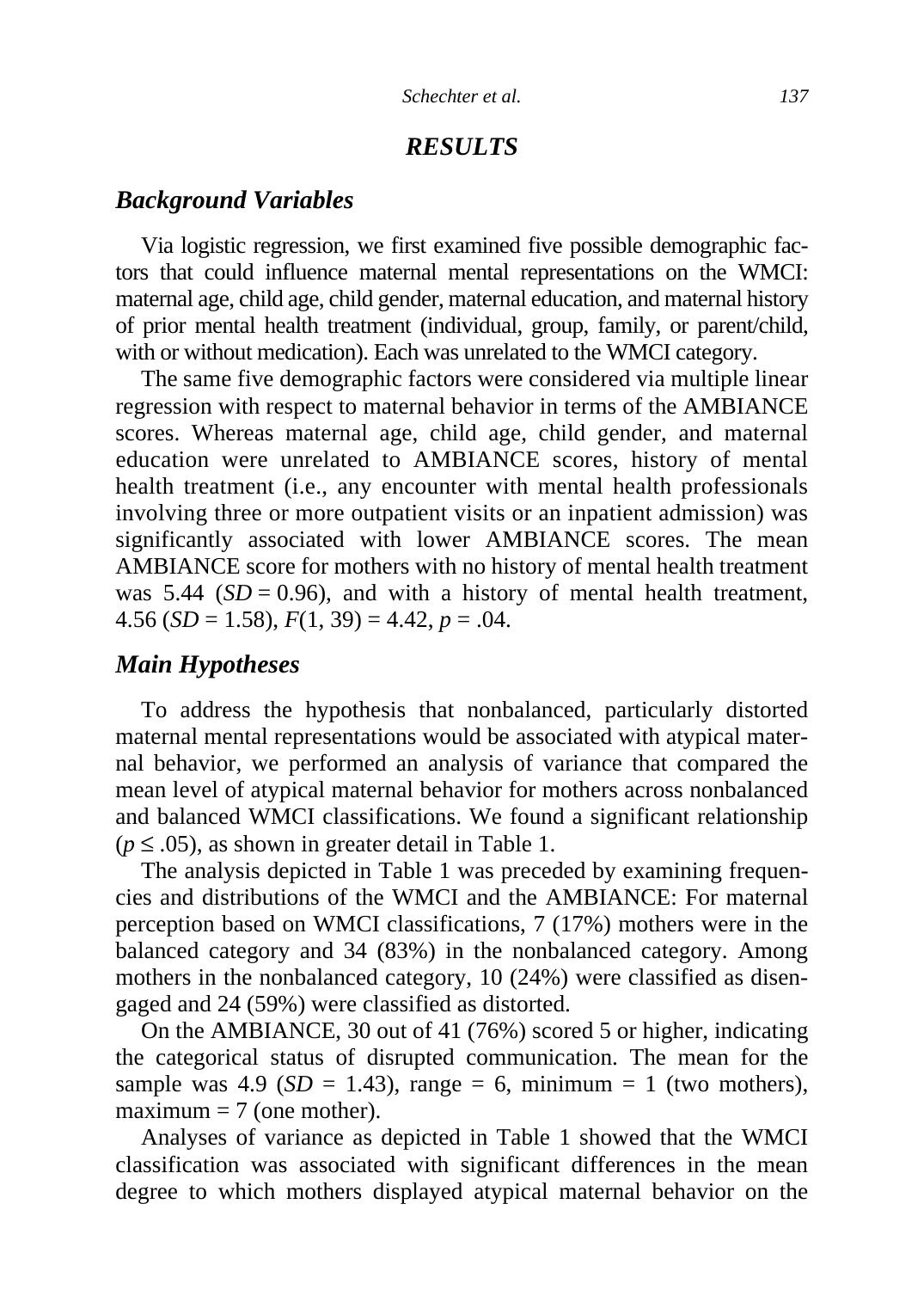# *RESULTS*

## *Background Variables*

Via logistic regression, we first examined five possible demographic factors that could influence maternal mental representations on the WMCI: maternal age, child age, child gender, maternal education, and maternal history of prior mental health treatment (individual, group, family, or parent/child, with or without medication). Each was unrelated to the WMCI category.

The same five demographic factors were considered via multiple linear regression with respect to maternal behavior in terms of the AMBIANCE scores. Whereas maternal age, child age, child gender, and maternal education were unrelated to AMBIANCE scores, history of mental health treatment (i.e., any encounter with mental health professionals involving three or more outpatient visits or an inpatient admission) was significantly associated with lower AMBIANCE scores. The mean AMBIANCE score for mothers with no history of mental health treatment was  $5.44$  (*SD* = 0.96), and with a history of mental health treatment, 4.56 ( $SD = 1.58$ ),  $F(1, 39) = 4.42$ ,  $p = .04$ .

### *Main Hypotheses*

To address the hypothesis that nonbalanced, particularly distorted maternal mental representations would be associated with atypical maternal behavior, we performed an analysis of variance that compared the mean level of atypical maternal behavior for mothers across nonbalanced and balanced WMCI classifications. We found a significant relationship  $(p \leq .05)$ , as shown in greater detail in Table 1.

The analysis depicted in Table 1 was preceded by examining frequencies and distributions of the WMCI and the AMBIANCE: For maternal perception based on WMCI classifications, 7 (17%) mothers were in the balanced category and 34 (83%) in the nonbalanced category. Among mothers in the nonbalanced category, 10 (24%) were classified as disengaged and 24 (59%) were classified as distorted.

On the AMBIANCE, 30 out of 41 (76%) scored 5 or higher, indicating the categorical status of disrupted communication. The mean for the sample was 4.9 ( $SD = 1.43$ ), range = 6, minimum = 1 (two mothers),  $maximum = 7$  (one mother).

Analyses of variance as depicted in Table 1 showed that the WMCI classification was associated with significant differences in the mean degree to which mothers displayed atypical maternal behavior on the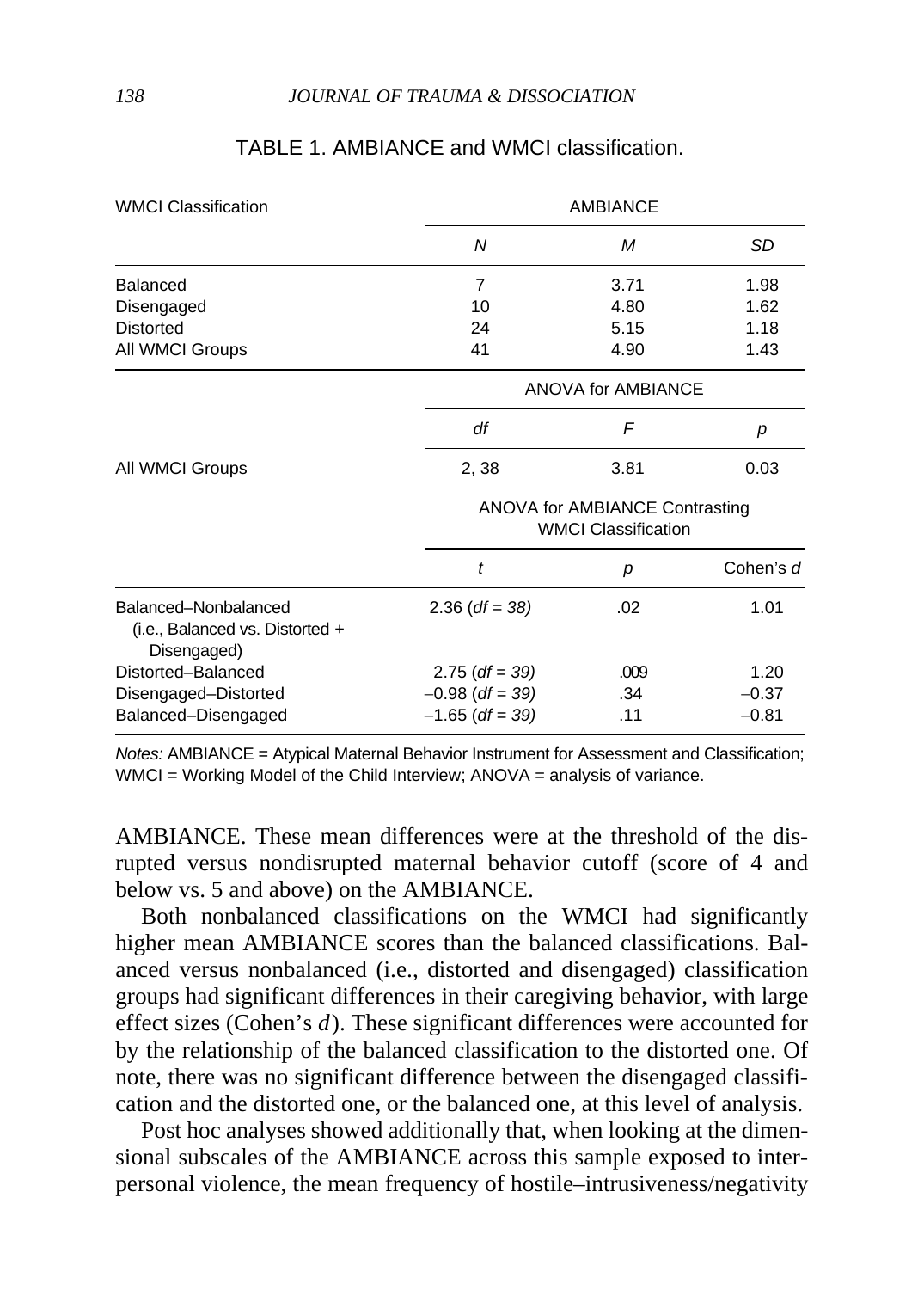| <b>WMCI Classification</b>                                             | <b>AMBIANCE</b>                                              |              |           |  |
|------------------------------------------------------------------------|--------------------------------------------------------------|--------------|-----------|--|
|                                                                        | N                                                            | M            | SD        |  |
| Balanced                                                               | $\overline{7}$                                               | 3.71         | 1.98      |  |
| Disengaged                                                             | 10                                                           | 4.80<br>5.15 | 1.62      |  |
| <b>Distorted</b>                                                       | 24                                                           |              | 1.18      |  |
| All WMCI Groups                                                        | 41                                                           | 4.90         | 1.43      |  |
|                                                                        | ANOVA for AMBIANCE                                           |              |           |  |
|                                                                        | df                                                           | F            | р         |  |
| All WMCI Groups                                                        | 2,38                                                         | 3.81         | 0.03      |  |
|                                                                        | ANOVA for AMBIANCE Contrasting<br><b>WMCI Classification</b> |              |           |  |
|                                                                        | t                                                            | р            | Cohen's d |  |
| Balanced-Nonbalanced<br>(i.e., Balanced vs. Distorted +<br>Disengaged) | $2.36$ (df = 38)                                             | .02          | 1.01      |  |
| Distorted-Balanced                                                     | $2.75$ (df = 39)                                             | .009         | 1.20      |  |
|                                                                        |                                                              |              |           |  |
| Balanced-Disengaged                                                    | $-1.65$ (df = 39)                                            | .11          | $-0.81$   |  |
| Disengaged-Distorted                                                   | $-0.98$ (df = 39)                                            | .34          | $-0.37$   |  |

#### TABLE 1. AMBIANCE and WMCI classification.

*Notes:* AMBIANCE = Atypical Maternal Behavior Instrument for Assessment and Classification; WMCI = Working Model of the Child Interview; ANOVA = analysis of variance.

AMBIANCE. These mean differences were at the threshold of the disrupted versus nondisrupted maternal behavior cutoff (score of 4 and below vs. 5 and above) on the AMBIANCE.

Both nonbalanced classifications on the WMCI had significantly higher mean AMBIANCE scores than the balanced classifications. Balanced versus nonbalanced (i.e., distorted and disengaged) classification groups had significant differences in their caregiving behavior, with large effect sizes (Cohen's *d*). These significant differences were accounted for by the relationship of the balanced classification to the distorted one. Of note, there was no significant difference between the disengaged classification and the distorted one, or the balanced one, at this level of analysis.

Post hoc analyses showed additionally that, when looking at the dimensional subscales of the AMBIANCE across this sample exposed to interpersonal violence, the mean frequency of hostile–intrusiveness/negativity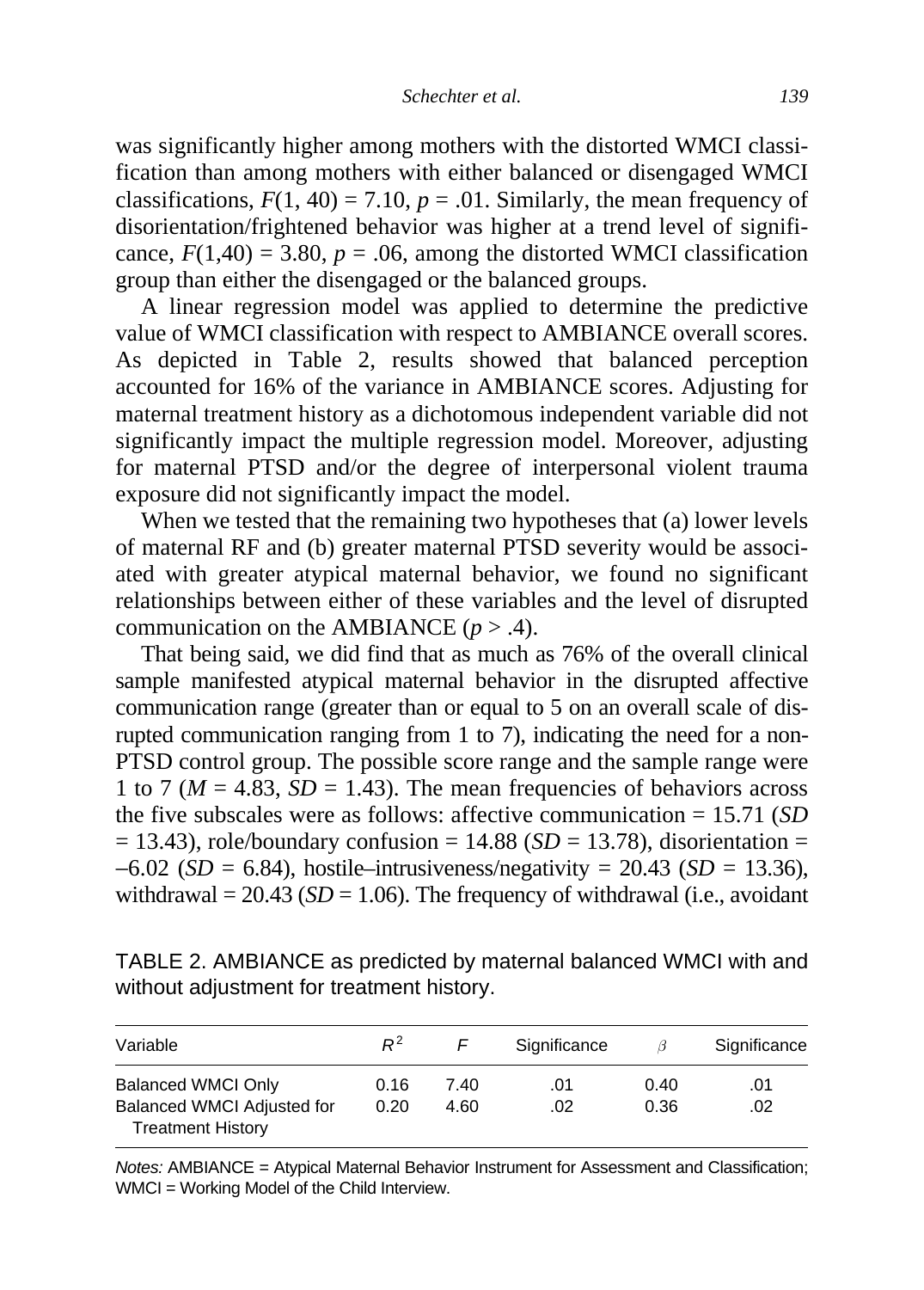was significantly higher among mothers with the distorted WMCI classification than among mothers with either balanced or disengaged WMCI classifications,  $F(1, 40) = 7.10$ ,  $p = .01$ . Similarly, the mean frequency of disorientation/frightened behavior was higher at a trend level of significance,  $F(1,40) = 3.80$ ,  $p = .06$ , among the distorted WMCI classification group than either the disengaged or the balanced groups.

A linear regression model was applied to determine the predictive value of WMCI classification with respect to AMBIANCE overall scores. As depicted in Table 2, results showed that balanced perception accounted for 16% of the variance in AMBIANCE scores. Adjusting for maternal treatment history as a dichotomous independent variable did not significantly impact the multiple regression model. Moreover, adjusting for maternal PTSD and/or the degree of interpersonal violent trauma exposure did not significantly impact the model.

When we tested that the remaining two hypotheses that (a) lower levels of maternal RF and (b) greater maternal PTSD severity would be associated with greater atypical maternal behavior, we found no significant relationships between either of these variables and the level of disrupted communication on the AMBIANCE  $(p > .4)$ .

That being said, we did find that as much as 76% of the overall clinical sample manifested atypical maternal behavior in the disrupted affective communication range (greater than or equal to 5 on an overall scale of disrupted communication ranging from 1 to 7), indicating the need for a non-PTSD control group. The possible score range and the sample range were 1 to 7 ( $M = 4.83$ ,  $SD = 1.43$ ). The mean frequencies of behaviors across the five subscales were as follows: affective communication = 15.71 (*SD*  $= 13.43$ ), role/boundary confusion  $= 14.88$  (*SD*  $= 13.78$ ), disorientation  $=$ −6.02 (*SD* = 6.84), hostile–intrusiveness/negativity = 20.43 (*SD* = 13.36), withdrawal  $= 20.43$  (*SD*  $= 1.06$ ). The frequency of withdrawal (i.e., avoidant

| TABLE 2. AMBIANCE as predicted by maternal balanced WMCI with and |  |  |
|-------------------------------------------------------------------|--|--|
| without adjustment for treatment history.                         |  |  |

| Variable                                                      | $R^2$ |      | Significance |      | Significance |
|---------------------------------------------------------------|-------|------|--------------|------|--------------|
| <b>Balanced WMCI Only</b>                                     | 0.16  | 7.40 | .01          | 0.40 | .01          |
| <b>Balanced WMCI Adjusted for</b><br><b>Treatment History</b> | 0.20  | 4.60 | .02          | 0.36 | .02          |

*Notes:* AMBIANCE = Atypical Maternal Behavior Instrument for Assessment and Classification; WMCI = Working Model of the Child Interview.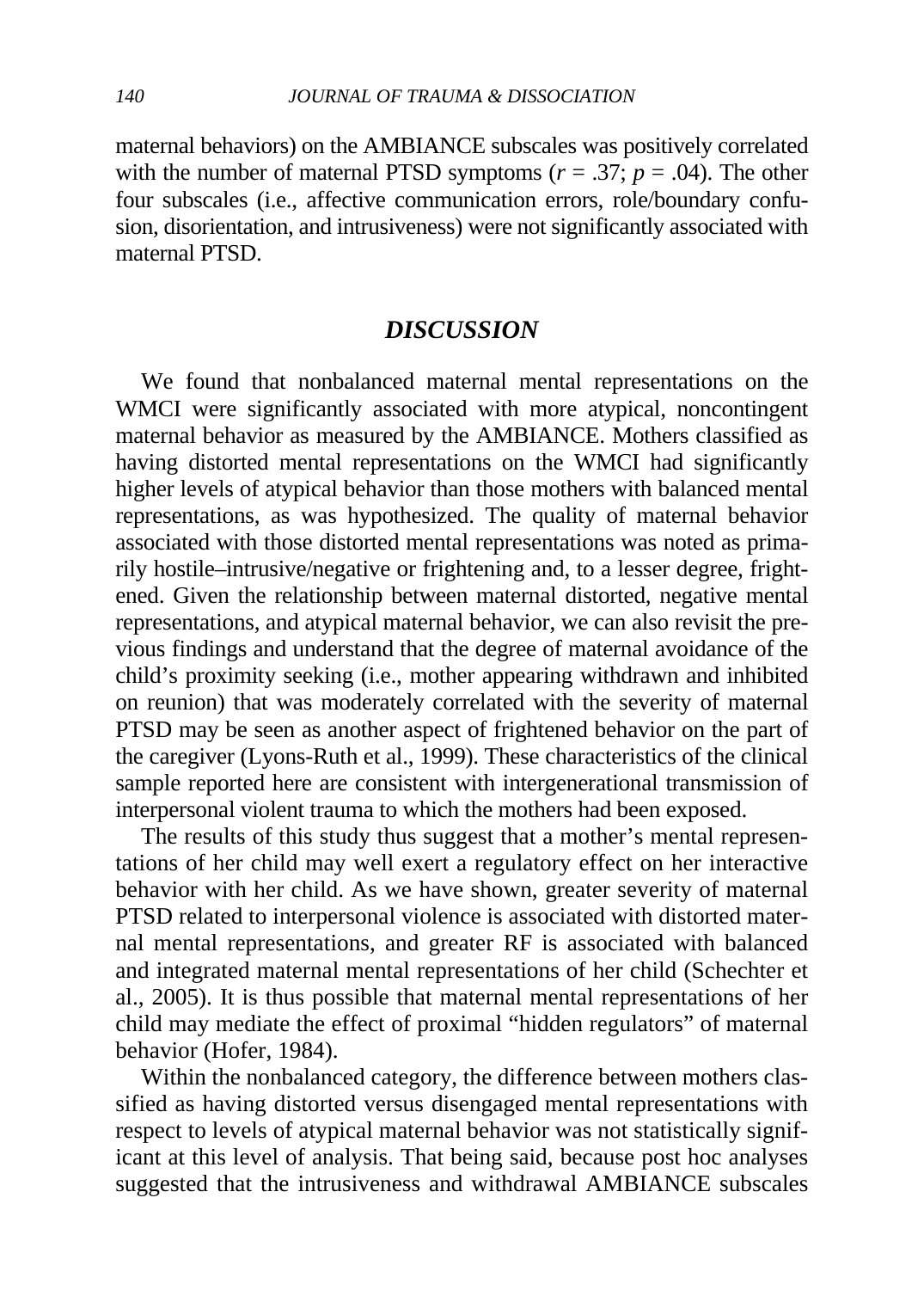maternal behaviors) on the AMBIANCE subscales was positively correlated with the number of maternal PTSD symptoms  $(r = .37; p = .04)$ . The other four subscales (i.e., affective communication errors, role/boundary confusion, disorientation, and intrusiveness) were not significantly associated with maternal PTSD.

#### *DISCUSSION*

We found that nonbalanced maternal mental representations on the WMCI were significantly associated with more atypical, noncontingent maternal behavior as measured by the AMBIANCE. Mothers classified as having distorted mental representations on the WMCI had significantly higher levels of atypical behavior than those mothers with balanced mental representations, as was hypothesized. The quality of maternal behavior associated with those distorted mental representations was noted as primarily hostile–intrusive/negative or frightening and, to a lesser degree, frightened. Given the relationship between maternal distorted, negative mental representations, and atypical maternal behavior, we can also revisit the previous findings and understand that the degree of maternal avoidance of the child's proximity seeking (i.e., mother appearing withdrawn and inhibited on reunion) that was moderately correlated with the severity of maternal PTSD may be seen as another aspect of frightened behavior on the part of the caregiver (Lyons-Ruth et al., 1999). These characteristics of the clinical sample reported here are consistent with intergenerational transmission of interpersonal violent trauma to which the mothers had been exposed.

The results of this study thus suggest that a mother's mental representations of her child may well exert a regulatory effect on her interactive behavior with her child. As we have shown, greater severity of maternal PTSD related to interpersonal violence is associated with distorted maternal mental representations, and greater RF is associated with balanced and integrated maternal mental representations of her child (Schechter et al., 2005). It is thus possible that maternal mental representations of her child may mediate the effect of proximal "hidden regulators" of maternal behavior (Hofer, 1984).

Within the nonbalanced category, the difference between mothers classified as having distorted versus disengaged mental representations with respect to levels of atypical maternal behavior was not statistically significant at this level of analysis. That being said, because post hoc analyses suggested that the intrusiveness and withdrawal AMBIANCE subscales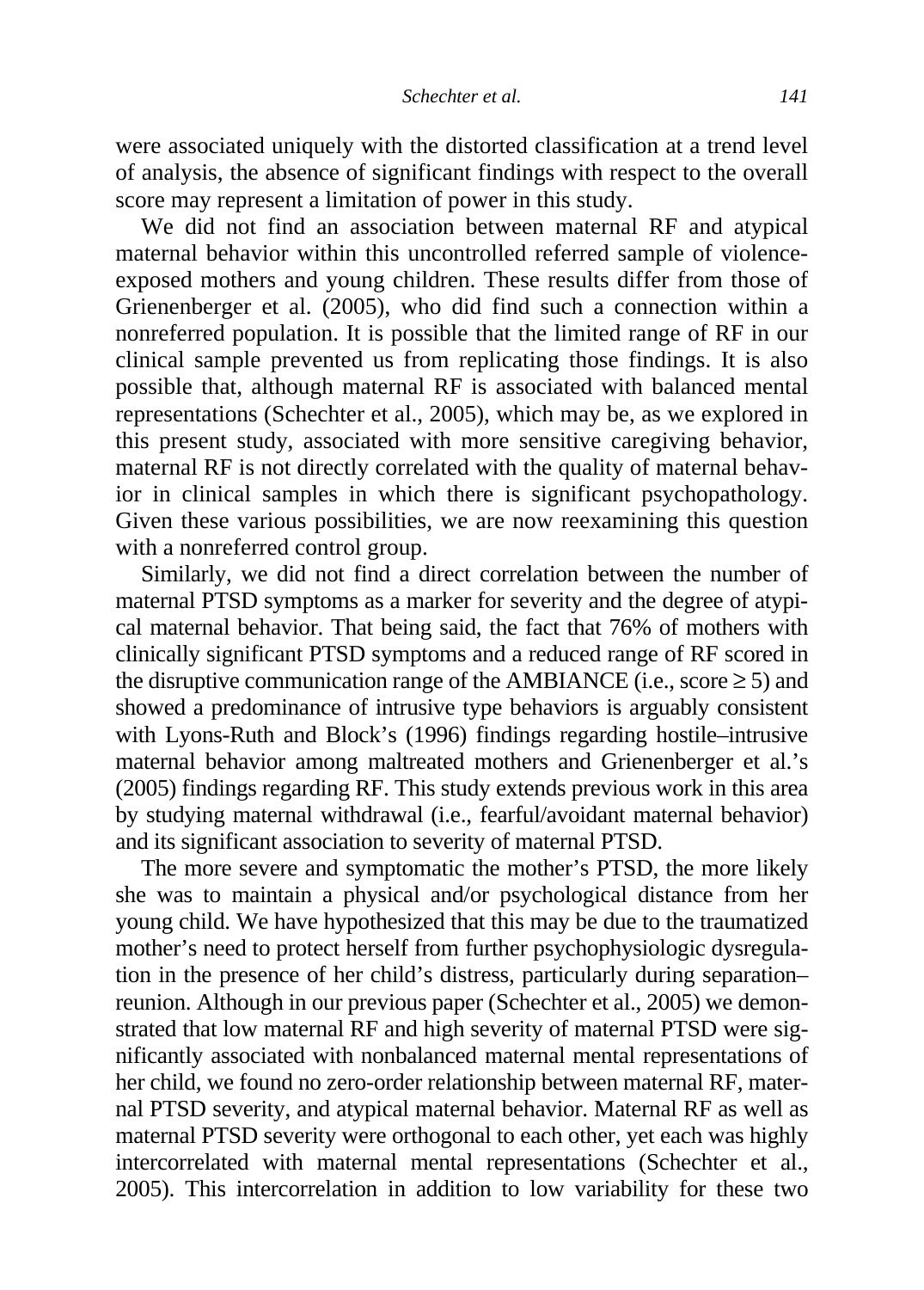were associated uniquely with the distorted classification at a trend level of analysis, the absence of significant findings with respect to the overall score may represent a limitation of power in this study.

We did not find an association between maternal RF and atypical maternal behavior within this uncontrolled referred sample of violenceexposed mothers and young children. These results differ from those of Grienenberger et al. (2005), who did find such a connection within a nonreferred population. It is possible that the limited range of RF in our clinical sample prevented us from replicating those findings. It is also possible that, although maternal RF is associated with balanced mental representations (Schechter et al., 2005), which may be, as we explored in this present study, associated with more sensitive caregiving behavior, maternal RF is not directly correlated with the quality of maternal behavior in clinical samples in which there is significant psychopathology. Given these various possibilities, we are now reexamining this question with a nonreferred control group.

Similarly, we did not find a direct correlation between the number of maternal PTSD symptoms as a marker for severity and the degree of atypical maternal behavior. That being said, the fact that 76% of mothers with clinically significant PTSD symptoms and a reduced range of RF scored in the disruptive communication range of the AMBIANCE (i.e., score  $\geq 5$ ) and showed a predominance of intrusive type behaviors is arguably consistent with Lyons-Ruth and Block's (1996) findings regarding hostile–intrusive maternal behavior among maltreated mothers and Grienenberger et al.'s (2005) findings regarding RF. This study extends previous work in this area by studying maternal withdrawal (i.e., fearful/avoidant maternal behavior) and its significant association to severity of maternal PTSD.

The more severe and symptomatic the mother's PTSD, the more likely she was to maintain a physical and/or psychological distance from her young child. We have hypothesized that this may be due to the traumatized mother's need to protect herself from further psychophysiologic dysregulation in the presence of her child's distress, particularly during separation– reunion. Although in our previous paper (Schechter et al., 2005) we demonstrated that low maternal RF and high severity of maternal PTSD were significantly associated with nonbalanced maternal mental representations of her child, we found no zero-order relationship between maternal RF, maternal PTSD severity, and atypical maternal behavior. Maternal RF as well as maternal PTSD severity were orthogonal to each other, yet each was highly intercorrelated with maternal mental representations (Schechter et al., 2005). This intercorrelation in addition to low variability for these two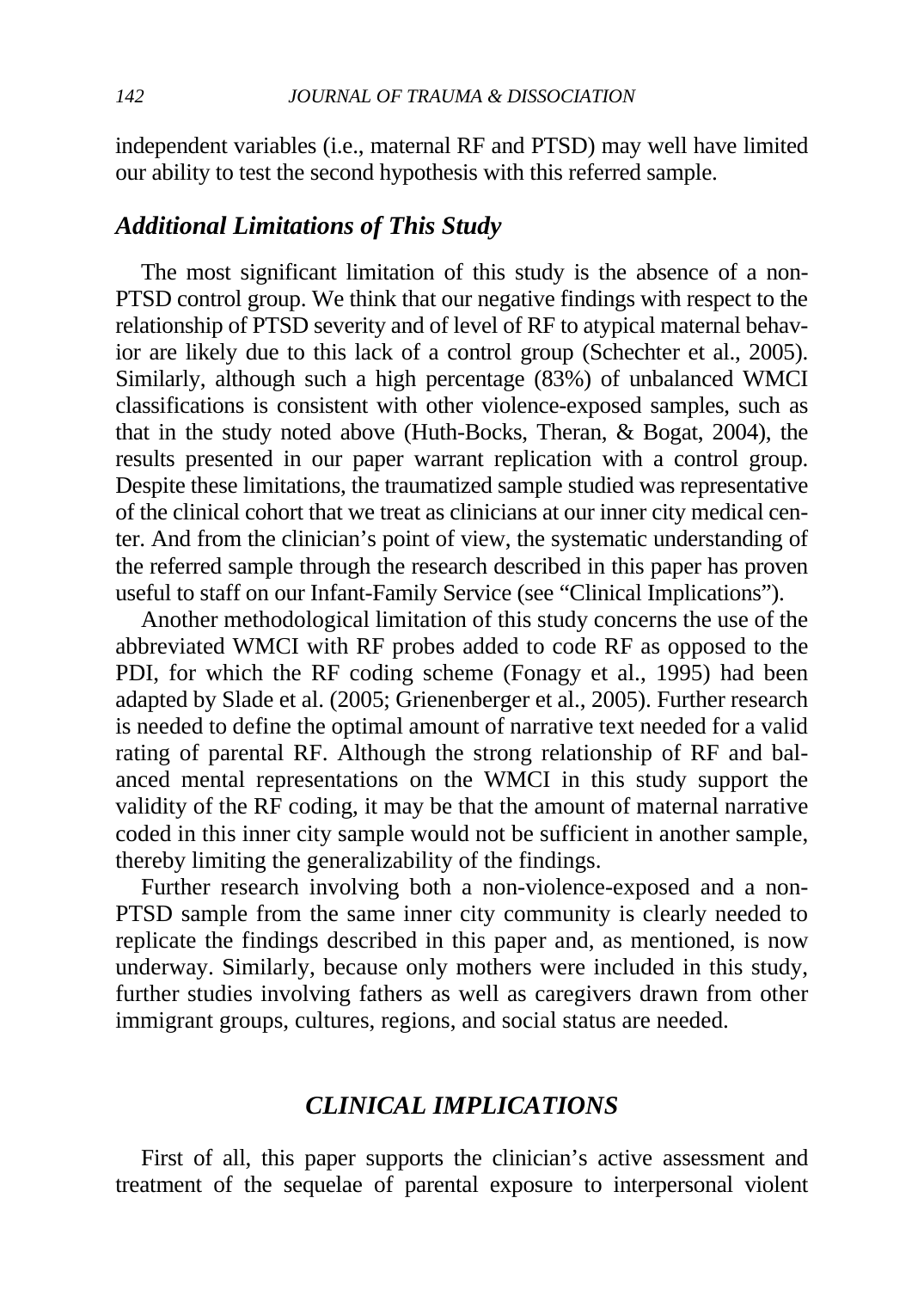independent variables (i.e., maternal RF and PTSD) may well have limited our ability to test the second hypothesis with this referred sample.

# *Additional Limitations of This Study*

The most significant limitation of this study is the absence of a non-PTSD control group. We think that our negative findings with respect to the relationship of PTSD severity and of level of RF to atypical maternal behavior are likely due to this lack of a control group (Schechter et al., 2005). Similarly, although such a high percentage (83%) of unbalanced WMCI classifications is consistent with other violence-exposed samples, such as that in the study noted above (Huth-Bocks, Theran, & Bogat, 2004), the results presented in our paper warrant replication with a control group. Despite these limitations, the traumatized sample studied was representative of the clinical cohort that we treat as clinicians at our inner city medical center. And from the clinician's point of view, the systematic understanding of the referred sample through the research described in this paper has proven useful to staff on our Infant-Family Service (see "Clinical Implications").

Another methodological limitation of this study concerns the use of the abbreviated WMCI with RF probes added to code RF as opposed to the PDI, for which the RF coding scheme (Fonagy et al., 1995) had been adapted by Slade et al. (2005; Grienenberger et al., 2005). Further research is needed to define the optimal amount of narrative text needed for a valid rating of parental RF. Although the strong relationship of RF and balanced mental representations on the WMCI in this study support the validity of the RF coding, it may be that the amount of maternal narrative coded in this inner city sample would not be sufficient in another sample, thereby limiting the generalizability of the findings.

Further research involving both a non-violence-exposed and a non-PTSD sample from the same inner city community is clearly needed to replicate the findings described in this paper and, as mentioned, is now underway. Similarly, because only mothers were included in this study, further studies involving fathers as well as caregivers drawn from other immigrant groups, cultures, regions, and social status are needed.

#### *CLINICAL IMPLICATIONS*

First of all, this paper supports the clinician's active assessment and treatment of the sequelae of parental exposure to interpersonal violent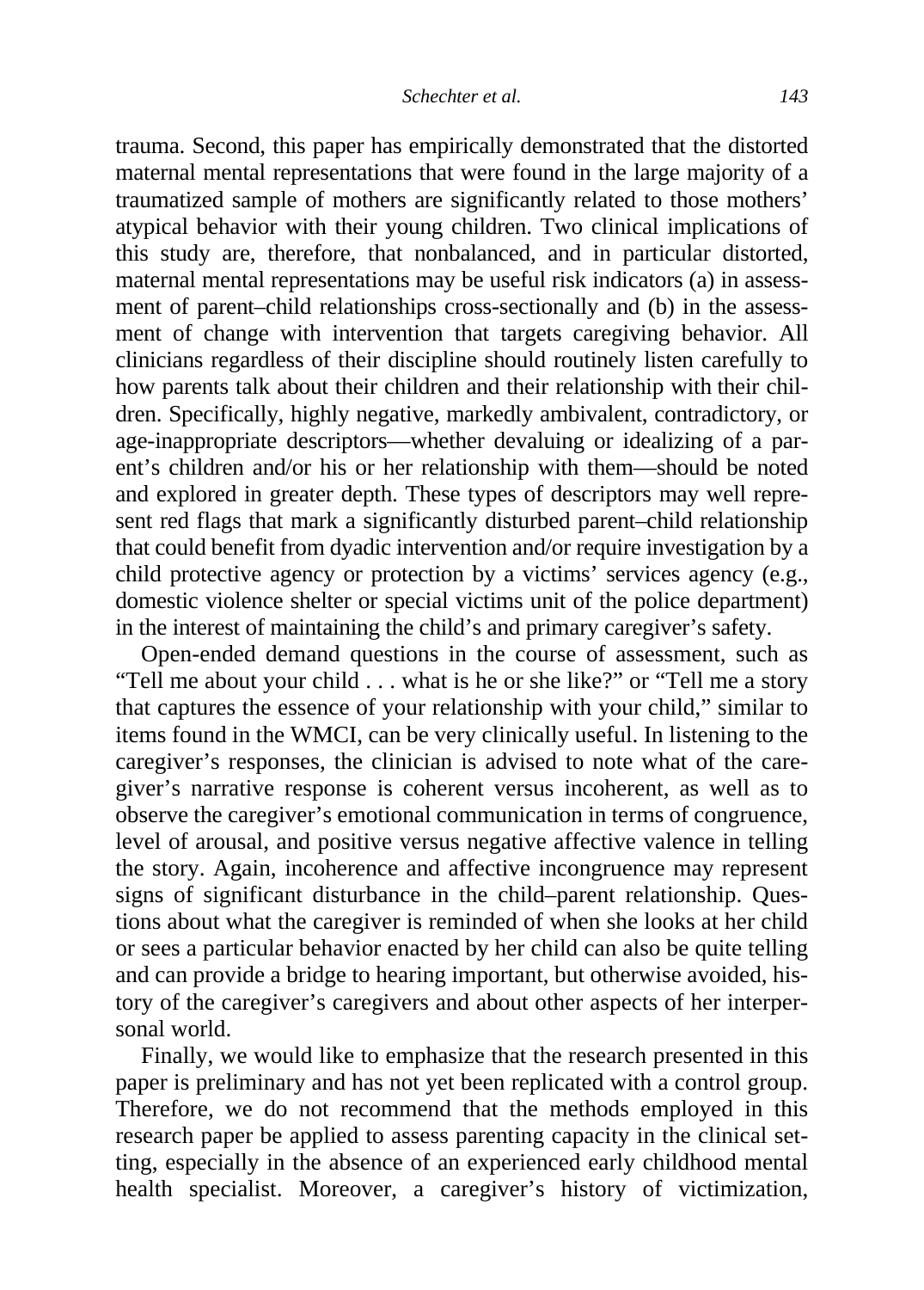trauma. Second, this paper has empirically demonstrated that the distorted maternal mental representations that were found in the large majority of a traumatized sample of mothers are significantly related to those mothers' atypical behavior with their young children. Two clinical implications of this study are, therefore, that nonbalanced, and in particular distorted, maternal mental representations may be useful risk indicators (a) in assessment of parent–child relationships cross-sectionally and (b) in the assessment of change with intervention that targets caregiving behavior. All clinicians regardless of their discipline should routinely listen carefully to how parents talk about their children and their relationship with their children. Specifically, highly negative, markedly ambivalent, contradictory, or age-inappropriate descriptors—whether devaluing or idealizing of a parent's children and/or his or her relationship with them—should be noted and explored in greater depth. These types of descriptors may well represent red flags that mark a significantly disturbed parent–child relationship that could benefit from dyadic intervention and/or require investigation by a child protective agency or protection by a victims' services agency (e.g., domestic violence shelter or special victims unit of the police department) in the interest of maintaining the child's and primary caregiver's safety.

Open-ended demand questions in the course of assessment, such as "Tell me about your child . . . what is he or she like?" or "Tell me a story that captures the essence of your relationship with your child," similar to items found in the WMCI, can be very clinically useful. In listening to the caregiver's responses, the clinician is advised to note what of the caregiver's narrative response is coherent versus incoherent, as well as to observe the caregiver's emotional communication in terms of congruence, level of arousal, and positive versus negative affective valence in telling the story. Again, incoherence and affective incongruence may represent signs of significant disturbance in the child–parent relationship. Questions about what the caregiver is reminded of when she looks at her child or sees a particular behavior enacted by her child can also be quite telling and can provide a bridge to hearing important, but otherwise avoided, history of the caregiver's caregivers and about other aspects of her interpersonal world.

Finally, we would like to emphasize that the research presented in this paper is preliminary and has not yet been replicated with a control group. Therefore, we do not recommend that the methods employed in this research paper be applied to assess parenting capacity in the clinical setting, especially in the absence of an experienced early childhood mental health specialist. Moreover, a caregiver's history of victimization,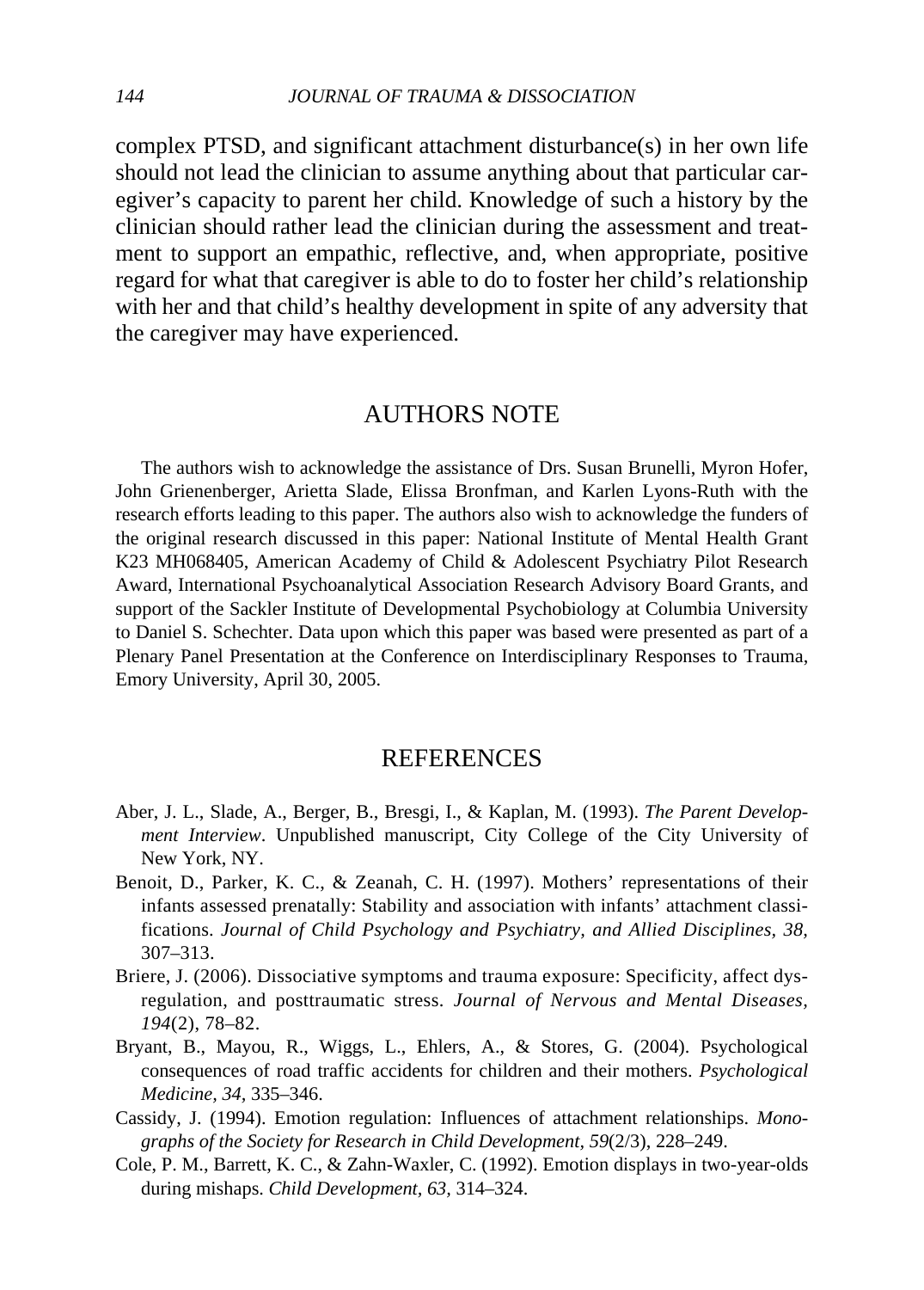complex PTSD, and significant attachment disturbance(s) in her own life should not lead the clinician to assume anything about that particular caregiver's capacity to parent her child. Knowledge of such a history by the clinician should rather lead the clinician during the assessment and treatment to support an empathic, reflective, and, when appropriate, positive regard for what that caregiver is able to do to foster her child's relationship with her and that child's healthy development in spite of any adversity that the caregiver may have experienced.

#### AUTHORS NOTE

The authors wish to acknowledge the assistance of Drs. Susan Brunelli, Myron Hofer, John Grienenberger, Arietta Slade, Elissa Bronfman, and Karlen Lyons-Ruth with the research efforts leading to this paper. The authors also wish to acknowledge the funders of the original research discussed in this paper: National Institute of Mental Health Grant K23 MH068405, American Academy of Child & Adolescent Psychiatry Pilot Research Award, International Psychoanalytical Association Research Advisory Board Grants, and support of the Sackler Institute of Developmental Psychobiology at Columbia University to Daniel S. Schechter. Data upon which this paper was based were presented as part of a Plenary Panel Presentation at the Conference on Interdisciplinary Responses to Trauma, Emory University, April 30, 2005.

### **REFERENCES**

- Aber, J. L., Slade, A., Berger, B., Bresgi, I., & Kaplan, M. (1993). *The Parent Development Interview*. Unpublished manuscript, City College of the City University of New York, NY.
- Benoit, D., Parker, K. C., & Zeanah, C. H. (1997). Mothers' representations of their infants assessed prenatally: Stability and association with infants' attachment classifications. *Journal of Child Psychology and Psychiatry, and Allied Disciplines, 38,* 307–313.
- Briere, J. (2006). Dissociative symptoms and trauma exposure: Specificity, affect dysregulation, and posttraumatic stress. *Journal of Nervous and Mental Diseases, 194*(2), 78–82.
- Bryant, B., Mayou, R., Wiggs, L., Ehlers, A., & Stores, G. (2004). Psychological consequences of road traffic accidents for children and their mothers. *Psychological Medicine, 34,* 335–346.
- Cassidy, J. (1994). Emotion regulation: Influences of attachment relationships. *Monographs of the Society for Research in Child Development, 59*(2/3), 228–249.
- Cole, P. M., Barrett, K. C., & Zahn-Waxler, C. (1992). Emotion displays in two-year-olds during mishaps. *Child Development, 63,* 314–324.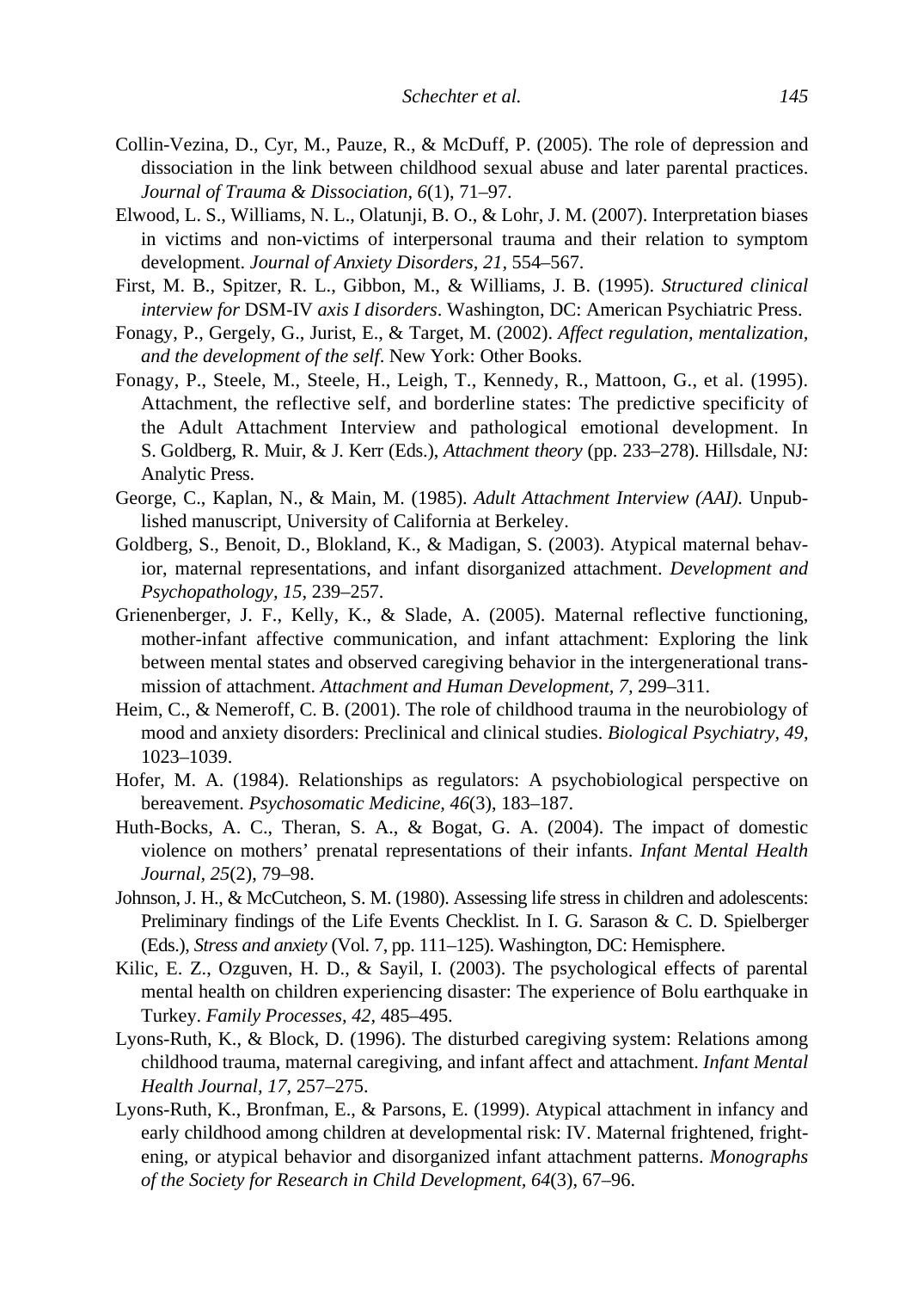- Collin-Vezina, D., Cyr, M., Pauze, R., & McDuff, P. (2005). The role of depression and dissociation in the link between childhood sexual abuse and later parental practices. *Journal of Trauma & Dissociation, 6*(1), 71–97.
- Elwood, L. S., Williams, N. L., Olatunji, B. O., & Lohr, J. M. (2007). Interpretation biases in victims and non-victims of interpersonal trauma and their relation to symptom development. *Journal of Anxiety Disorders, 21,* 554–567.
- First, M. B., Spitzer, R. L., Gibbon, M., & Williams, J. B. (1995). *Structured clinical interview for* DSM-IV *axis I disorders*. Washington, DC: American Psychiatric Press.
- Fonagy, P., Gergely, G., Jurist, E., & Target, M. (2002). *Affect regulation, mentalization, and the development of the self*. New York: Other Books.
- Fonagy, P., Steele, M., Steele, H., Leigh, T., Kennedy, R., Mattoon, G., et al. (1995). Attachment, the reflective self, and borderline states: The predictive specificity of the Adult Attachment Interview and pathological emotional development. In S. Goldberg, R. Muir, & J. Kerr (Eds.), *Attachment theory* (pp. 233–278). Hillsdale, NJ: Analytic Press.
- George, C., Kaplan, N., & Main, M. (1985). *Adult Attachment Interview (AAI).* Unpublished manuscript, University of California at Berkeley.
- Goldberg, S., Benoit, D., Blokland, K., & Madigan, S. (2003). Atypical maternal behavior, maternal representations, and infant disorganized attachment. *Development and Psychopathology, 15,* 239–257.
- Grienenberger, J. F., Kelly, K., & Slade, A. (2005). Maternal reflective functioning, mother-infant affective communication, and infant attachment: Exploring the link between mental states and observed caregiving behavior in the intergenerational transmission of attachment. *Attachment and Human Development, 7,* 299–311.
- Heim, C., & Nemeroff, C. B. (2001). The role of childhood trauma in the neurobiology of mood and anxiety disorders: Preclinical and clinical studies. *Biological Psychiatry, 49,* 1023–1039.
- Hofer, M. A. (1984). Relationships as regulators: A psychobiological perspective on bereavement. *Psychosomatic Medicine, 46*(3), 183–187.
- Huth-Bocks, A. C., Theran, S. A., & Bogat, G. A. (2004). The impact of domestic violence on mothers' prenatal representations of their infants. *Infant Mental Health Journal, 25*(2), 79–98.
- Johnson, J. H., & McCutcheon, S. M. (1980). Assessing life stress in children and adolescents: Preliminary findings of the Life Events Checklist. In I. G. Sarason & C. D. Spielberger (Eds.), *Stress and anxiety* (Vol. 7, pp. 111–125). Washington, DC: Hemisphere.
- Kilic, E. Z., Ozguven, H. D., & Sayil, I. (2003). The psychological effects of parental mental health on children experiencing disaster: The experience of Bolu earthquake in Turkey. *Family Processes, 42,* 485–495.
- Lyons-Ruth, K., & Block, D. (1996). The disturbed caregiving system: Relations among childhood trauma, maternal caregiving, and infant affect and attachment. *Infant Mental Health Journal, 17,* 257–275.
- Lyons-Ruth, K., Bronfman, E., & Parsons, E. (1999). Atypical attachment in infancy and early childhood among children at developmental risk: IV. Maternal frightened, frightening, or atypical behavior and disorganized infant attachment patterns. *Monographs of the Society for Research in Child Development, 64*(3), 67–96.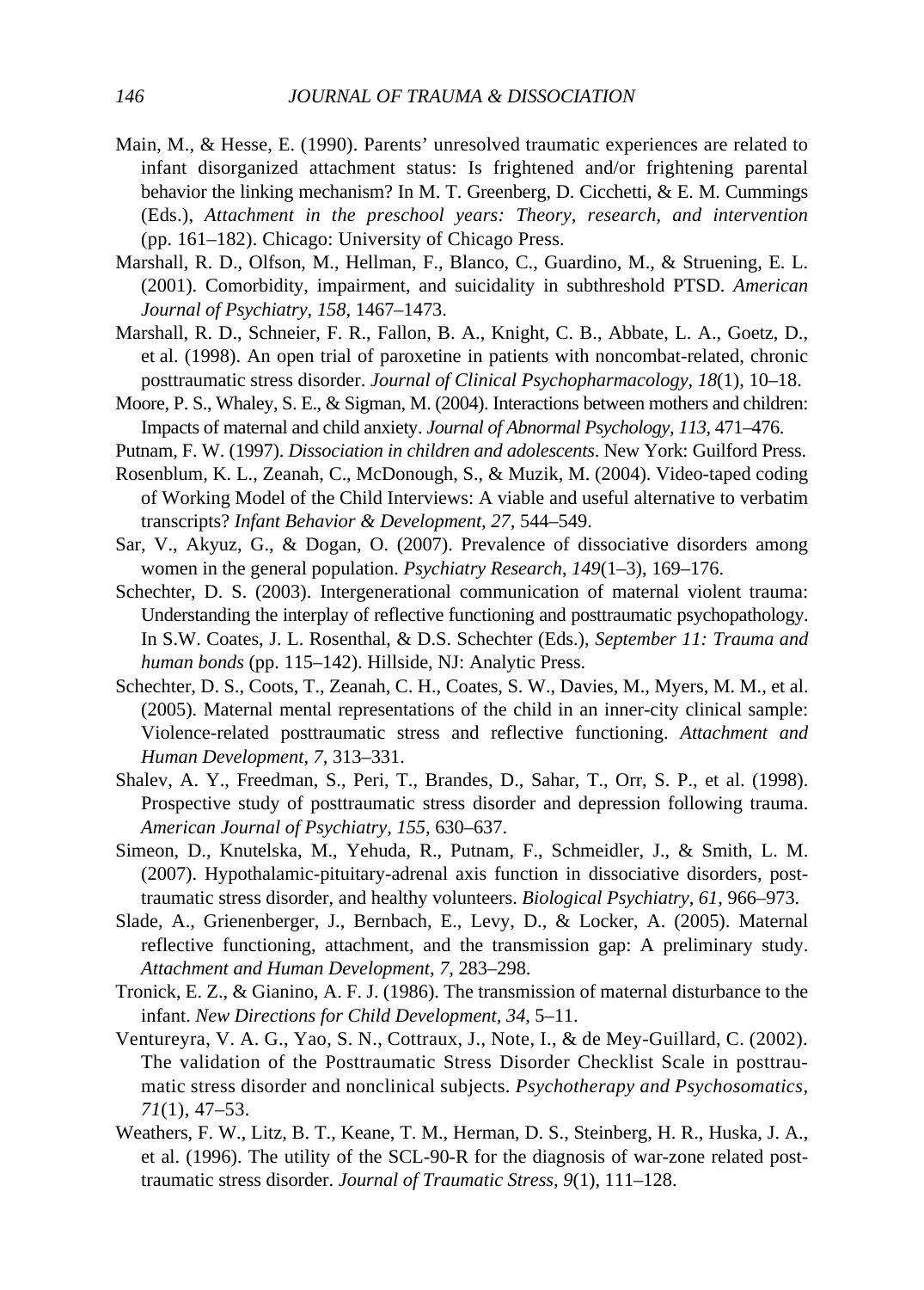- Main, M., & Hesse, E. (1990). Parents' unresolved traumatic experiences are related to infant disorganized attachment status: Is frightened and/or frightening parental behavior the linking mechanism? In M. T. Greenberg, D. Cicchetti, & E. M. Cummings (Eds.), *Attachment in the preschool years: Theory, research, and intervention* (pp. 161–182). Chicago: University of Chicago Press.
- Marshall, R. D., Olfson, M., Hellman, F., Blanco, C., Guardino, M., & Struening, E. L. (2001). Comorbidity, impairment, and suicidality in subthreshold PTSD. *American Journal of Psychiatry, 158,* 1467–1473.
- Marshall, R. D., Schneier, F. R., Fallon, B. A., Knight, C. B., Abbate, L. A., Goetz, D., et al. (1998). An open trial of paroxetine in patients with noncombat-related, chronic posttraumatic stress disorder. *Journal of Clinical Psychopharmacology, 18*(1), 10–18.
- Moore, P. S., Whaley, S. E., & Sigman, M. (2004). Interactions between mothers and children: Impacts of maternal and child anxiety. *Journal of Abnormal Psychology, 113,* 471–476.
- Putnam, F. W. (1997). *Dissociation in children and adolescents*. New York: Guilford Press.
- Rosenblum, K. L., Zeanah, C., McDonough, S., & Muzik, M. (2004). Video-taped coding of Working Model of the Child Interviews: A viable and useful alternative to verbatim transcripts? *Infant Behavior & Development, 27,* 544–549.
- Sar, V., Akyuz, G., & Dogan, O. (2007). Prevalence of dissociative disorders among women in the general population. *Psychiatry Research*, *149*(1–3), 169–176.
- Schechter, D. S. (2003). Intergenerational communication of maternal violent trauma: Understanding the interplay of reflective functioning and posttraumatic psychopathology. In S.W. Coates, J. L. Rosenthal, & D.S. Schechter (Eds.), *September 11: Trauma and human bonds* (pp. 115–142). Hillside, NJ: Analytic Press.
- Schechter, D. S., Coots, T., Zeanah, C. H., Coates, S. W., Davies, M., Myers, M. M., et al. (2005). Maternal mental representations of the child in an inner-city clinical sample: Violence-related posttraumatic stress and reflective functioning. *Attachment and Human Development, 7,* 313–331.
- Shalev, A. Y., Freedman, S., Peri, T., Brandes, D., Sahar, T., Orr, S. P., et al. (1998). Prospective study of posttraumatic stress disorder and depression following trauma. *American Journal of Psychiatry, 155,* 630–637.
- Simeon, D., Knutelska, M., Yehuda, R., Putnam, F., Schmeidler, J., & Smith, L. M. (2007). Hypothalamic-pituitary-adrenal axis function in dissociative disorders, posttraumatic stress disorder, and healthy volunteers. *Biological Psychiatry, 61,* 966–973.
- Slade, A., Grienenberger, J., Bernbach, E., Levy, D., & Locker, A. (2005). Maternal reflective functioning, attachment, and the transmission gap: A preliminary study. *Attachment and Human Development, 7*, 283–298.
- Tronick, E. Z., & Gianino, A. F. J. (1986). The transmission of maternal disturbance to the infant. *New Directions for Child Development, 34*, 5–11.
- Ventureyra, V. A. G., Yao, S. N., Cottraux, J., Note, I., & de Mey-Guillard, C. (2002). The validation of the Posttraumatic Stress Disorder Checklist Scale in posttraumatic stress disorder and nonclinical subjects. *Psychotherapy and Psychosomatics, 71*(1), 47–53.
- Weathers, F. W., Litz, B. T., Keane, T. M., Herman, D. S., Steinberg, H. R., Huska, J. A., et al. (1996). The utility of the SCL-90-R for the diagnosis of war-zone related posttraumatic stress disorder. *Journal of Traumatic Stress, 9*(1), 111–128.